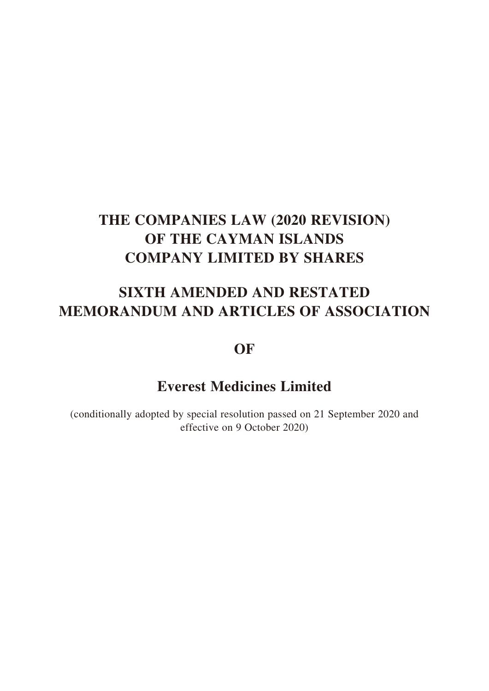# **SIXTH AMENDED AND RESTATED MEMORANDUM AND ARTICLES OF ASSOCIATION**

# **OF**

# **Everest Medicines Limited**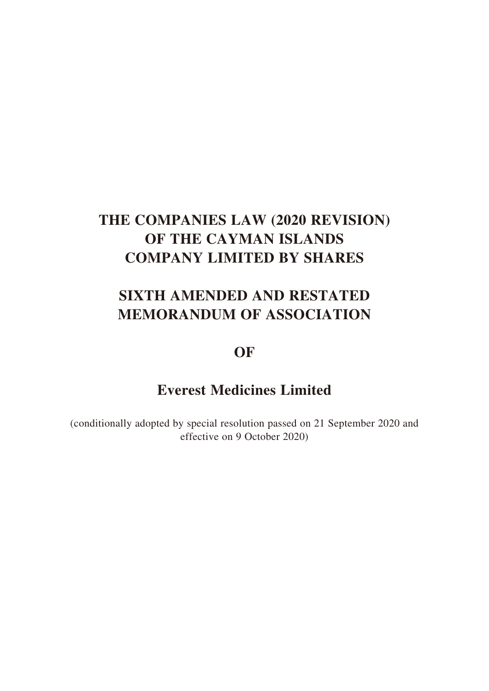# **SIXTH AMENDED AND RESTATED MEMORANDUM OF ASSOCIATION**

# **OF**

# **Everest Medicines Limited**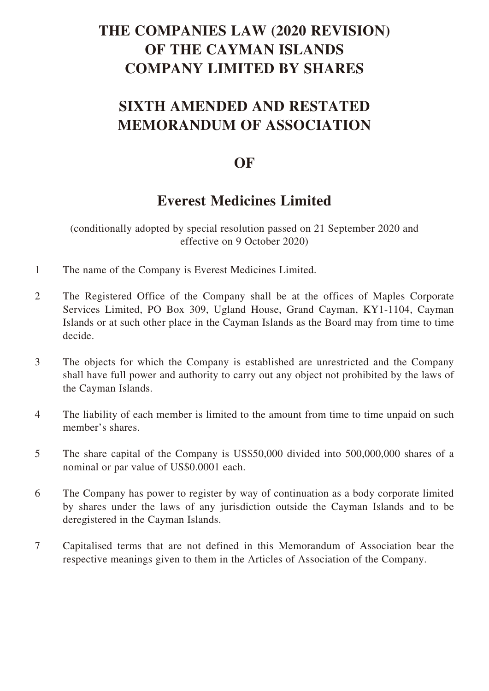# **SIXTH AMENDED AND RESTATED MEMORANDUM OF ASSOCIATION**

# **OF**

# **Everest Medicines Limited**

- 1 The name of the Company is Everest Medicines Limited.
- 2 The Registered Office of the Company shall be at the offices of Maples Corporate Services Limited, PO Box 309, Ugland House, Grand Cayman, KY1-1104, Cayman Islands or at such other place in the Cayman Islands as the Board may from time to time decide.
- 3 The objects for which the Company is established are unrestricted and the Company shall have full power and authority to carry out any object not prohibited by the laws of the Cayman Islands.
- 4 The liability of each member is limited to the amount from time to time unpaid on such member's shares.
- 5 The share capital of the Company is US\$50,000 divided into 500,000,000 shares of a nominal or par value of US\$0.0001 each.
- 6 The Company has power to register by way of continuation as a body corporate limited by shares under the laws of any jurisdiction outside the Cayman Islands and to be deregistered in the Cayman Islands.
- 7 Capitalised terms that are not defined in this Memorandum of Association bear the respective meanings given to them in the Articles of Association of the Company.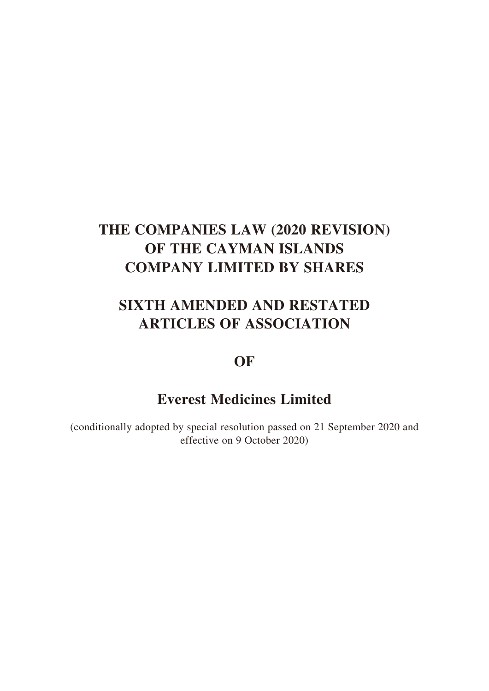# **SIXTH AMENDED AND RESTATED ARTICLES OF ASSOCIATION**

# **OF**

# **Everest Medicines Limited**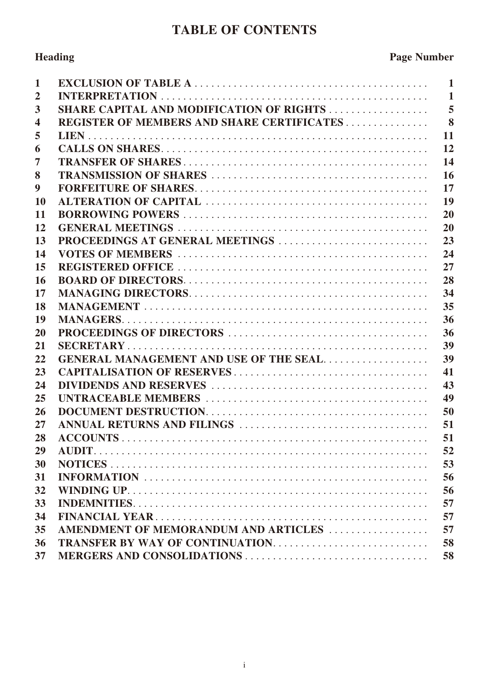# **TABLE OF CONTENTS**

# **Heading Page Number**

| 1              |                                                   | $\mathbf{1}$            |
|----------------|---------------------------------------------------|-------------------------|
| $\overline{2}$ |                                                   | $\mathbf{1}$            |
| 3              | <b>SHARE CAPITAL AND MODIFICATION OF RIGHTS </b>  | $\overline{5}$          |
| 4              | <b>REGISTER OF MEMBERS AND SHARE CERTIFICATES</b> | $\overline{\mathbf{8}}$ |
| 5              |                                                   | 11                      |
| 6              |                                                   | 12                      |
| 7              |                                                   | 14                      |
| 8              |                                                   | 16                      |
| 9              |                                                   | 17                      |
| <b>10</b>      |                                                   | 19                      |
| 11             |                                                   | 20                      |
| 12             |                                                   | 20                      |
| 13             | PROCEEDINGS AT GENERAL MEETINGS                   | 23                      |
| 14             |                                                   | 24                      |
| 15             |                                                   | 27                      |
| 16             |                                                   | 28                      |
| 17             |                                                   | 34                      |
| 18             |                                                   | 35                      |
| 19             |                                                   | 36                      |
| 20             |                                                   | 36                      |
| 21             |                                                   | 39                      |
| 22             | <b>GENERAL MANAGEMENT AND USE OF THE SEAL</b>     | 39                      |
| 23             |                                                   | 41                      |
| 24             |                                                   | 43                      |
| 25             |                                                   | 49                      |
| 26             |                                                   | 50                      |
| 27             |                                                   | 51                      |
| 28             |                                                   | 51                      |
| 29             |                                                   | 52                      |
| 30             |                                                   | 53                      |
| 31             |                                                   | 56                      |
| 32             |                                                   | 56                      |
| 33             |                                                   | 57                      |
| 34             |                                                   | 57                      |
| 35             | AMENDMENT OF MEMORANDUM AND ARTICLES              | 57                      |
| 36             | <b>TRANSFER BY WAY OF CONTINUATION</b>            | 58                      |
| 37             |                                                   | 58                      |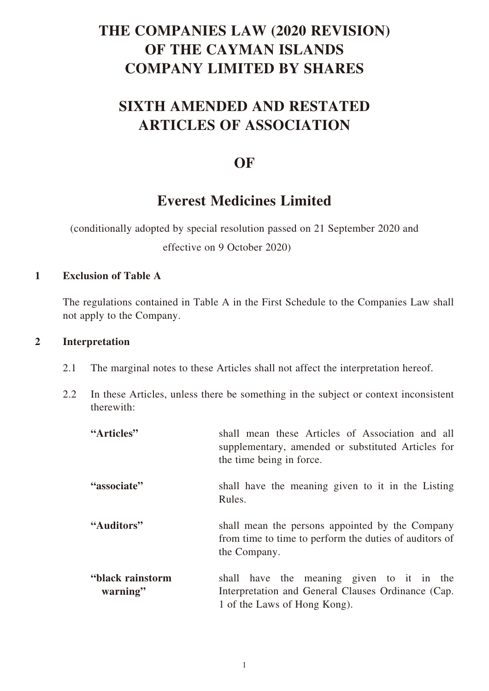# **SIXTH AMENDED AND RESTATED ARTICLES OF ASSOCIATION**

# **OF**

# **Everest Medicines Limited**

(conditionally adopted by special resolution passed on 21 September 2020 and

effective on 9 October 2020)

# **1 Exclusion of Table A**

The regulations contained in Table A in the First Schedule to the Companies Law shall not apply to the Company.

# **2 Interpretation**

- 2.1 The marginal notes to these Articles shall not affect the interpretation hereof.
- 2.2 In these Articles, unless there be something in the subject or context inconsistent therewith:

| "Articles"                   | shall mean these Articles of Association and all<br>supplementary, amended or substituted Articles for<br>the time being in force. |
|------------------------------|------------------------------------------------------------------------------------------------------------------------------------|
| "associate"                  | shall have the meaning given to it in the Listing<br>Rules.                                                                        |
| "Auditors"                   | shall mean the persons appointed by the Company<br>from time to time to perform the duties of auditors of<br>the Company.          |
| "black rainstorm<br>warning" | shall have the meaning given to it in the<br>Interpretation and General Clauses Ordinance (Cap.<br>1 of the Laws of Hong Kong).    |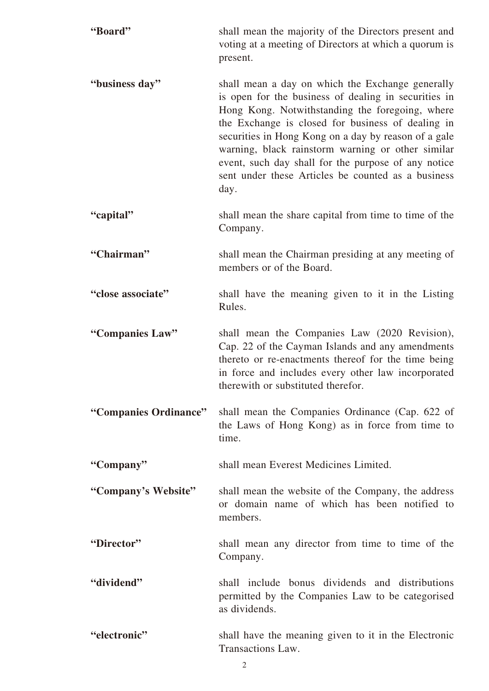| "Board"               | shall mean the majority of the Directors present and<br>voting at a meeting of Directors at which a quorum is<br>present.                                                                                                                                                                                                                                                                                                                          |
|-----------------------|----------------------------------------------------------------------------------------------------------------------------------------------------------------------------------------------------------------------------------------------------------------------------------------------------------------------------------------------------------------------------------------------------------------------------------------------------|
| "business day"        | shall mean a day on which the Exchange generally<br>is open for the business of dealing in securities in<br>Hong Kong. Notwithstanding the foregoing, where<br>the Exchange is closed for business of dealing in<br>securities in Hong Kong on a day by reason of a gale<br>warning, black rainstorm warning or other similar<br>event, such day shall for the purpose of any notice<br>sent under these Articles be counted as a business<br>day. |
| "capital"             | shall mean the share capital from time to time of the<br>Company.                                                                                                                                                                                                                                                                                                                                                                                  |
| "Chairman"            | shall mean the Chairman presiding at any meeting of<br>members or of the Board.                                                                                                                                                                                                                                                                                                                                                                    |
| "close associate"     | shall have the meaning given to it in the Listing<br>Rules.                                                                                                                                                                                                                                                                                                                                                                                        |
| "Companies Law"       | shall mean the Companies Law (2020 Revision),<br>Cap. 22 of the Cayman Islands and any amendments<br>thereto or re-enactments thereof for the time being<br>in force and includes every other law incorporated<br>therewith or substituted therefor.                                                                                                                                                                                               |
| "Companies Ordinance" | shall mean the Companies Ordinance (Cap. 622 of<br>the Laws of Hong Kong) as in force from time to<br>time.                                                                                                                                                                                                                                                                                                                                        |
| "Company"             | shall mean Everest Medicines Limited.                                                                                                                                                                                                                                                                                                                                                                                                              |
| "Company's Website"   | shall mean the website of the Company, the address<br>or domain name of which has been notified to<br>members.                                                                                                                                                                                                                                                                                                                                     |
| "Director"            | shall mean any director from time to time of the<br>Company.                                                                                                                                                                                                                                                                                                                                                                                       |
| "dividend"            | shall include bonus dividends and distributions<br>permitted by the Companies Law to be categorised<br>as dividends.                                                                                                                                                                                                                                                                                                                               |
| "electronic"          | shall have the meaning given to it in the Electronic<br>Transactions Law.                                                                                                                                                                                                                                                                                                                                                                          |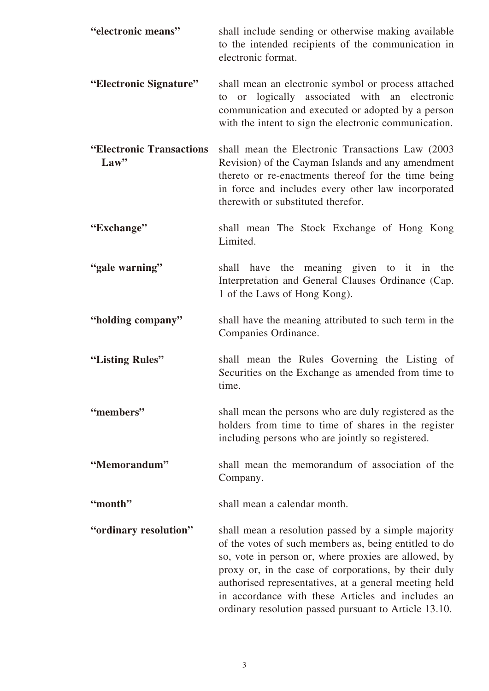| "electronic means"                 | shall include sending or otherwise making available<br>to the intended recipients of the communication in<br>electronic format.                                                                                                                                                                                                                                                                     |
|------------------------------------|-----------------------------------------------------------------------------------------------------------------------------------------------------------------------------------------------------------------------------------------------------------------------------------------------------------------------------------------------------------------------------------------------------|
| "Electronic Signature"             | shall mean an electronic symbol or process attached<br>to or logically associated with an electronic<br>communication and executed or adopted by a person<br>with the intent to sign the electronic communication.                                                                                                                                                                                  |
| "Electronic Transactions"<br>Law'' | shall mean the Electronic Transactions Law (2003)<br>Revision) of the Cayman Islands and any amendment<br>thereto or re-enactments thereof for the time being<br>in force and includes every other law incorporated<br>therewith or substituted therefor.                                                                                                                                           |
| "Exchange"                         | shall mean The Stock Exchange of Hong Kong<br>Limited.                                                                                                                                                                                                                                                                                                                                              |
| "gale warning"                     | have the meaning given to it in the<br>shall<br>Interpretation and General Clauses Ordinance (Cap.<br>1 of the Laws of Hong Kong).                                                                                                                                                                                                                                                                  |
| "holding company"                  | shall have the meaning attributed to such term in the<br>Companies Ordinance.                                                                                                                                                                                                                                                                                                                       |
| "Listing Rules"                    | shall mean the Rules Governing the Listing of<br>Securities on the Exchange as amended from time to<br>time.                                                                                                                                                                                                                                                                                        |
| "members"                          | shall mean the persons who are duly registered as the<br>holders from time to time of shares in the register<br>including persons who are jointly so registered.                                                                                                                                                                                                                                    |
| "Memorandum"                       | shall mean the memorandum of association of the<br>Company.                                                                                                                                                                                                                                                                                                                                         |
| "month"                            | shall mean a calendar month.                                                                                                                                                                                                                                                                                                                                                                        |
| "ordinary resolution"              | shall mean a resolution passed by a simple majority<br>of the votes of such members as, being entitled to do<br>so, vote in person or, where proxies are allowed, by<br>proxy or, in the case of corporations, by their duly<br>authorised representatives, at a general meeting held<br>in accordance with these Articles and includes an<br>ordinary resolution passed pursuant to Article 13.10. |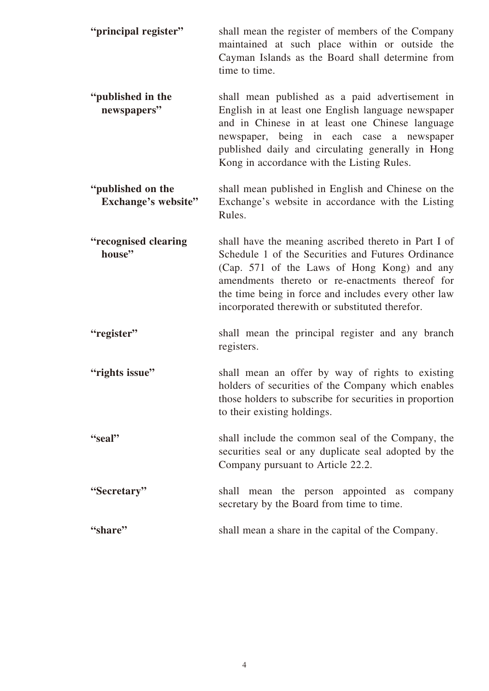| "principal register"                     | shall mean the register of members of the Company<br>maintained at such place within or outside the<br>Cayman Islands as the Board shall determine from<br>time to time.                                                                                                                                                |
|------------------------------------------|-------------------------------------------------------------------------------------------------------------------------------------------------------------------------------------------------------------------------------------------------------------------------------------------------------------------------|
| "published in the<br>newspapers"         | shall mean published as a paid advertisement in<br>English in at least one English language newspaper<br>and in Chinese in at least one Chinese language<br>newspaper, being in each case a newspaper<br>published daily and circulating generally in Hong<br>Kong in accordance with the Listing Rules.                |
| "published on the<br>Exchange's website" | shall mean published in English and Chinese on the<br>Exchange's website in accordance with the Listing<br>Rules.                                                                                                                                                                                                       |
| "recognised clearing<br>house"           | shall have the meaning ascribed thereto in Part I of<br>Schedule 1 of the Securities and Futures Ordinance<br>(Cap. 571 of the Laws of Hong Kong) and any<br>amendments thereto or re-enactments thereof for<br>the time being in force and includes every other law<br>incorporated therewith or substituted therefor. |
| "register"                               | shall mean the principal register and any branch<br>registers.                                                                                                                                                                                                                                                          |
| "rights issue"                           | shall mean an offer by way of rights to existing<br>holders of securities of the Company which enables<br>those holders to subscribe for securities in proportion<br>to their existing holdings.                                                                                                                        |
| "seal"                                   | shall include the common seal of the Company, the<br>securities seal or any duplicate seal adopted by the<br>Company pursuant to Article 22.2.                                                                                                                                                                          |
| "Secretary"                              | shall mean the person appointed as company<br>secretary by the Board from time to time.                                                                                                                                                                                                                                 |
| "share"                                  | shall mean a share in the capital of the Company.                                                                                                                                                                                                                                                                       |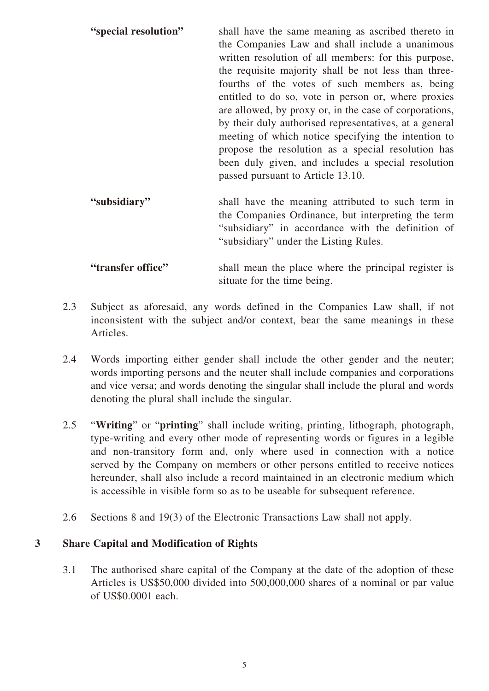| "special resolution" | shall have the same meaning as ascribed thereto in<br>the Companies Law and shall include a unanimous<br>written resolution of all members: for this purpose,<br>the requisite majority shall be not less than three-<br>fourths of the votes of such members as, being<br>entitled to do so, vote in person or, where proxies<br>are allowed, by proxy or, in the case of corporations,<br>by their duly authorised representatives, at a general<br>meeting of which notice specifying the intention to<br>propose the resolution as a special resolution has<br>been duly given, and includes a special resolution<br>passed pursuant to Article 13.10. |
|----------------------|------------------------------------------------------------------------------------------------------------------------------------------------------------------------------------------------------------------------------------------------------------------------------------------------------------------------------------------------------------------------------------------------------------------------------------------------------------------------------------------------------------------------------------------------------------------------------------------------------------------------------------------------------------|
| "subsidiary"         | shall have the meaning attributed to such term in                                                                                                                                                                                                                                                                                                                                                                                                                                                                                                                                                                                                          |

the Companies Ordinance, but interpreting the term "subsidiary" in accordance with the definition of "subsidiary" under the Listing Rules.

# **"transfer office"** shall mean the place where the principal register is situate for the time being.

- 2.3 Subject as aforesaid, any words defined in the Companies Law shall, if not inconsistent with the subject and/or context, bear the same meanings in these Articles.
- 2.4 Words importing either gender shall include the other gender and the neuter; words importing persons and the neuter shall include companies and corporations and vice versa; and words denoting the singular shall include the plural and words denoting the plural shall include the singular.
- 2.5 "**Writing**" or "**printing**" shall include writing, printing, lithograph, photograph, type-writing and every other mode of representing words or figures in a legible and non-transitory form and, only where used in connection with a notice served by the Company on members or other persons entitled to receive notices hereunder, shall also include a record maintained in an electronic medium which is accessible in visible form so as to be useable for subsequent reference.
- 2.6 Sections 8 and 19(3) of the Electronic Transactions Law shall not apply.

# **3 Share Capital and Modification of Rights**

3.1 The authorised share capital of the Company at the date of the adoption of these Articles is US\$50,000 divided into 500,000,000 shares of a nominal or par value of US\$0.0001 each.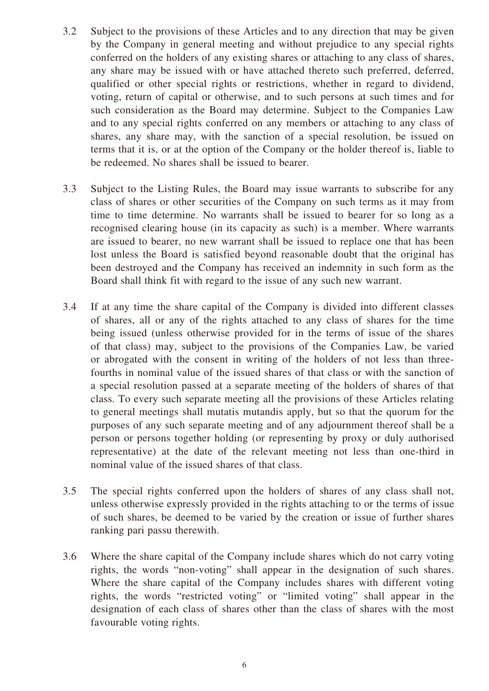- 3.2 Subject to the provisions of these Articles and to any direction that may be given by the Company in general meeting and without prejudice to any special rights conferred on the holders of any existing shares or attaching to any class of shares, any share may be issued with or have attached thereto such preferred, deferred, qualified or other special rights or restrictions, whether in regard to dividend, voting, return of capital or otherwise, and to such persons at such times and for such consideration as the Board may determine. Subject to the Companies Law and to any special rights conferred on any members or attaching to any class of shares, any share may, with the sanction of a special resolution, be issued on terms that it is, or at the option of the Company or the holder thereof is, liable to be redeemed. No shares shall be issued to bearer.
- 3.3 Subject to the Listing Rules, the Board may issue warrants to subscribe for any class of shares or other securities of the Company on such terms as it may from time to time determine. No warrants shall be issued to bearer for so long as a recognised clearing house (in its capacity as such) is a member. Where warrants are issued to bearer, no new warrant shall be issued to replace one that has been lost unless the Board is satisfied beyond reasonable doubt that the original has been destroyed and the Company has received an indemnity in such form as the Board shall think fit with regard to the issue of any such new warrant.
- 3.4 If at any time the share capital of the Company is divided into different classes of shares, all or any of the rights attached to any class of shares for the time being issued (unless otherwise provided for in the terms of issue of the shares of that class) may, subject to the provisions of the Companies Law, be varied or abrogated with the consent in writing of the holders of not less than threefourths in nominal value of the issued shares of that class or with the sanction of a special resolution passed at a separate meeting of the holders of shares of that class. To every such separate meeting all the provisions of these Articles relating to general meetings shall mutatis mutandis apply, but so that the quorum for the purposes of any such separate meeting and of any adjournment thereof shall be a person or persons together holding (or representing by proxy or duly authorised representative) at the date of the relevant meeting not less than one-third in nominal value of the issued shares of that class.
- 3.5 The special rights conferred upon the holders of shares of any class shall not, unless otherwise expressly provided in the rights attaching to or the terms of issue of such shares, be deemed to be varied by the creation or issue of further shares ranking pari passu therewith.
- 3.6 Where the share capital of the Company include shares which do not carry voting rights, the words "non-voting" shall appear in the designation of such shares. Where the share capital of the Company includes shares with different voting rights, the words "restricted voting" or "limited voting" shall appear in the designation of each class of shares other than the class of shares with the most favourable voting rights.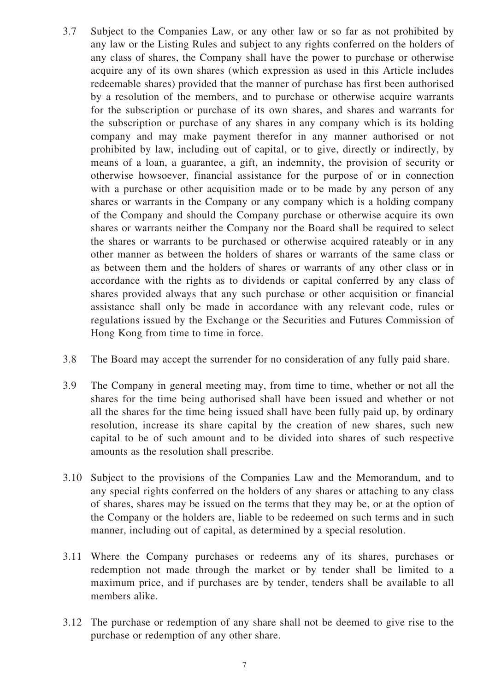- 3.7 Subject to the Companies Law, or any other law or so far as not prohibited by any law or the Listing Rules and subject to any rights conferred on the holders of any class of shares, the Company shall have the power to purchase or otherwise acquire any of its own shares (which expression as used in this Article includes redeemable shares) provided that the manner of purchase has first been authorised by a resolution of the members, and to purchase or otherwise acquire warrants for the subscription or purchase of its own shares, and shares and warrants for the subscription or purchase of any shares in any company which is its holding company and may make payment therefor in any manner authorised or not prohibited by law, including out of capital, or to give, directly or indirectly, by means of a loan, a guarantee, a gift, an indemnity, the provision of security or otherwise howsoever, financial assistance for the purpose of or in connection with a purchase or other acquisition made or to be made by any person of any shares or warrants in the Company or any company which is a holding company of the Company and should the Company purchase or otherwise acquire its own shares or warrants neither the Company nor the Board shall be required to select the shares or warrants to be purchased or otherwise acquired rateably or in any other manner as between the holders of shares or warrants of the same class or as between them and the holders of shares or warrants of any other class or in accordance with the rights as to dividends or capital conferred by any class of shares provided always that any such purchase or other acquisition or financial assistance shall only be made in accordance with any relevant code, rules or regulations issued by the Exchange or the Securities and Futures Commission of Hong Kong from time to time in force.
- 3.8 The Board may accept the surrender for no consideration of any fully paid share.
- 3.9 The Company in general meeting may, from time to time, whether or not all the shares for the time being authorised shall have been issued and whether or not all the shares for the time being issued shall have been fully paid up, by ordinary resolution, increase its share capital by the creation of new shares, such new capital to be of such amount and to be divided into shares of such respective amounts as the resolution shall prescribe.
- 3.10 Subject to the provisions of the Companies Law and the Memorandum, and to any special rights conferred on the holders of any shares or attaching to any class of shares, shares may be issued on the terms that they may be, or at the option of the Company or the holders are, liable to be redeemed on such terms and in such manner, including out of capital, as determined by a special resolution.
- 3.11 Where the Company purchases or redeems any of its shares, purchases or redemption not made through the market or by tender shall be limited to a maximum price, and if purchases are by tender, tenders shall be available to all members alike.
- 3.12 The purchase or redemption of any share shall not be deemed to give rise to the purchase or redemption of any other share.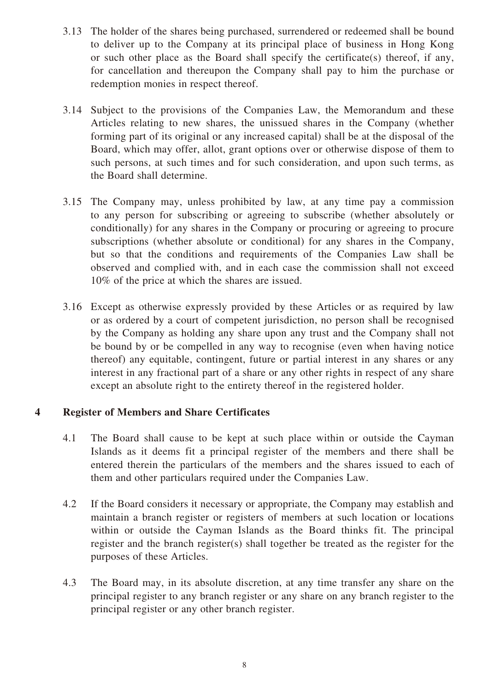- 3.13 The holder of the shares being purchased, surrendered or redeemed shall be bound to deliver up to the Company at its principal place of business in Hong Kong or such other place as the Board shall specify the certificate(s) thereof, if any, for cancellation and thereupon the Company shall pay to him the purchase or redemption monies in respect thereof.
- 3.14 Subject to the provisions of the Companies Law, the Memorandum and these Articles relating to new shares, the unissued shares in the Company (whether forming part of its original or any increased capital) shall be at the disposal of the Board, which may offer, allot, grant options over or otherwise dispose of them to such persons, at such times and for such consideration, and upon such terms, as the Board shall determine.
- 3.15 The Company may, unless prohibited by law, at any time pay a commission to any person for subscribing or agreeing to subscribe (whether absolutely or conditionally) for any shares in the Company or procuring or agreeing to procure subscriptions (whether absolute or conditional) for any shares in the Company, but so that the conditions and requirements of the Companies Law shall be observed and complied with, and in each case the commission shall not exceed 10% of the price at which the shares are issued.
- 3.16 Except as otherwise expressly provided by these Articles or as required by law or as ordered by a court of competent jurisdiction, no person shall be recognised by the Company as holding any share upon any trust and the Company shall not be bound by or be compelled in any way to recognise (even when having notice thereof) any equitable, contingent, future or partial interest in any shares or any interest in any fractional part of a share or any other rights in respect of any share except an absolute right to the entirety thereof in the registered holder.

# **4 Register of Members and Share Certificates**

- 4.1 The Board shall cause to be kept at such place within or outside the Cayman Islands as it deems fit a principal register of the members and there shall be entered therein the particulars of the members and the shares issued to each of them and other particulars required under the Companies Law.
- 4.2 If the Board considers it necessary or appropriate, the Company may establish and maintain a branch register or registers of members at such location or locations within or outside the Cayman Islands as the Board thinks fit. The principal register and the branch register(s) shall together be treated as the register for the purposes of these Articles.
- 4.3 The Board may, in its absolute discretion, at any time transfer any share on the principal register to any branch register or any share on any branch register to the principal register or any other branch register.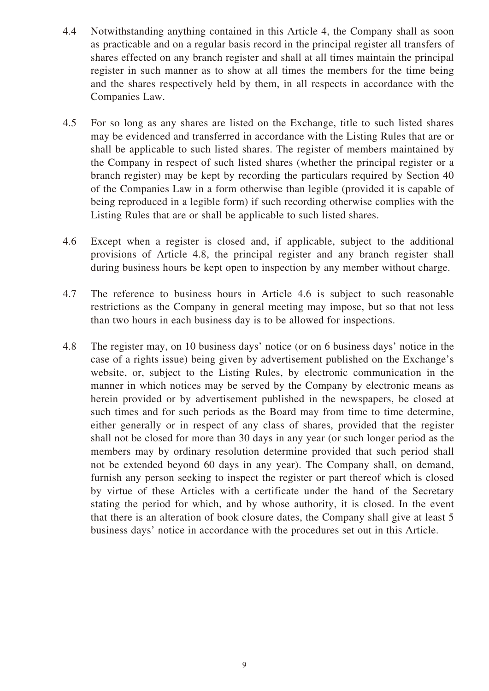- 4.4 Notwithstanding anything contained in this Article 4, the Company shall as soon as practicable and on a regular basis record in the principal register all transfers of shares effected on any branch register and shall at all times maintain the principal register in such manner as to show at all times the members for the time being and the shares respectively held by them, in all respects in accordance with the Companies Law.
- 4.5 For so long as any shares are listed on the Exchange, title to such listed shares may be evidenced and transferred in accordance with the Listing Rules that are or shall be applicable to such listed shares. The register of members maintained by the Company in respect of such listed shares (whether the principal register or a branch register) may be kept by recording the particulars required by Section 40 of the Companies Law in a form otherwise than legible (provided it is capable of being reproduced in a legible form) if such recording otherwise complies with the Listing Rules that are or shall be applicable to such listed shares.
- 4.6 Except when a register is closed and, if applicable, subject to the additional provisions of Article 4.8, the principal register and any branch register shall during business hours be kept open to inspection by any member without charge.
- 4.7 The reference to business hours in Article 4.6 is subject to such reasonable restrictions as the Company in general meeting may impose, but so that not less than two hours in each business day is to be allowed for inspections.
- 4.8 The register may, on 10 business days' notice (or on 6 business days' notice in the case of a rights issue) being given by advertisement published on the Exchange's website, or, subject to the Listing Rules, by electronic communication in the manner in which notices may be served by the Company by electronic means as herein provided or by advertisement published in the newspapers, be closed at such times and for such periods as the Board may from time to time determine, either generally or in respect of any class of shares, provided that the register shall not be closed for more than 30 days in any year (or such longer period as the members may by ordinary resolution determine provided that such period shall not be extended beyond 60 days in any year). The Company shall, on demand, furnish any person seeking to inspect the register or part thereof which is closed by virtue of these Articles with a certificate under the hand of the Secretary stating the period for which, and by whose authority, it is closed. In the event that there is an alteration of book closure dates, the Company shall give at least 5 business days' notice in accordance with the procedures set out in this Article.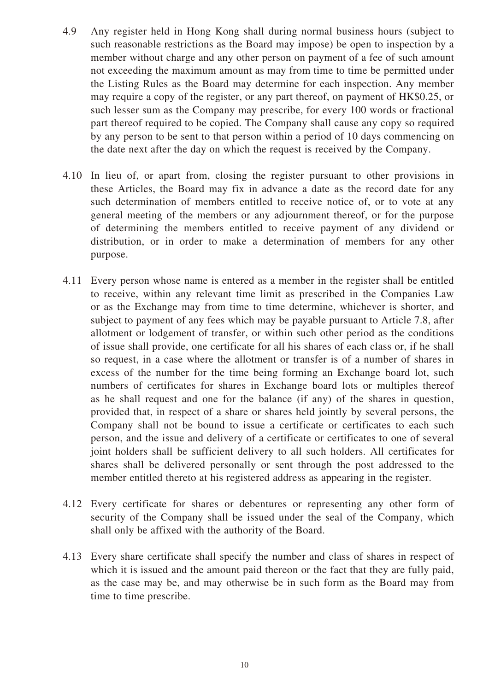- 4.9 Any register held in Hong Kong shall during normal business hours (subject to such reasonable restrictions as the Board may impose) be open to inspection by a member without charge and any other person on payment of a fee of such amount not exceeding the maximum amount as may from time to time be permitted under the Listing Rules as the Board may determine for each inspection. Any member may require a copy of the register, or any part thereof, on payment of HK\$0.25, or such lesser sum as the Company may prescribe, for every 100 words or fractional part thereof required to be copied. The Company shall cause any copy so required by any person to be sent to that person within a period of 10 days commencing on the date next after the day on which the request is received by the Company.
- 4.10 In lieu of, or apart from, closing the register pursuant to other provisions in these Articles, the Board may fix in advance a date as the record date for any such determination of members entitled to receive notice of, or to vote at any general meeting of the members or any adjournment thereof, or for the purpose of determining the members entitled to receive payment of any dividend or distribution, or in order to make a determination of members for any other purpose.
- 4.11 Every person whose name is entered as a member in the register shall be entitled to receive, within any relevant time limit as prescribed in the Companies Law or as the Exchange may from time to time determine, whichever is shorter, and subject to payment of any fees which may be payable pursuant to Article 7.8, after allotment or lodgement of transfer, or within such other period as the conditions of issue shall provide, one certificate for all his shares of each class or, if he shall so request, in a case where the allotment or transfer is of a number of shares in excess of the number for the time being forming an Exchange board lot, such numbers of certificates for shares in Exchange board lots or multiples thereof as he shall request and one for the balance (if any) of the shares in question, provided that, in respect of a share or shares held jointly by several persons, the Company shall not be bound to issue a certificate or certificates to each such person, and the issue and delivery of a certificate or certificates to one of several joint holders shall be sufficient delivery to all such holders. All certificates for shares shall be delivered personally or sent through the post addressed to the member entitled thereto at his registered address as appearing in the register.
- 4.12 Every certificate for shares or debentures or representing any other form of security of the Company shall be issued under the seal of the Company, which shall only be affixed with the authority of the Board.
- 4.13 Every share certificate shall specify the number and class of shares in respect of which it is issued and the amount paid thereon or the fact that they are fully paid, as the case may be, and may otherwise be in such form as the Board may from time to time prescribe.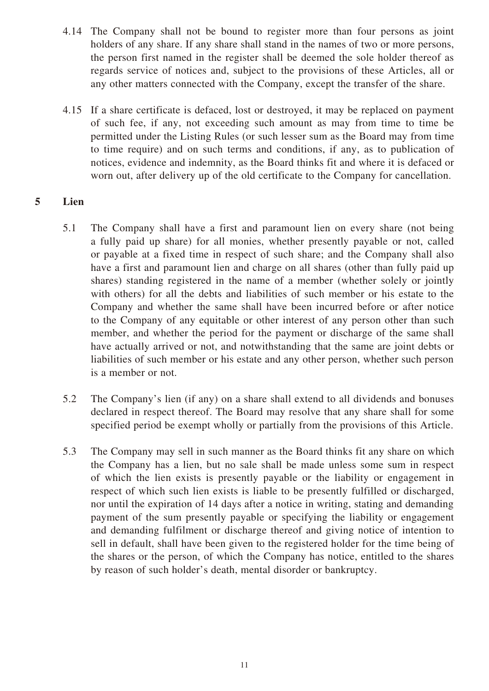- 4.14 The Company shall not be bound to register more than four persons as joint holders of any share. If any share shall stand in the names of two or more persons, the person first named in the register shall be deemed the sole holder thereof as regards service of notices and, subject to the provisions of these Articles, all or any other matters connected with the Company, except the transfer of the share.
- 4.15 If a share certificate is defaced, lost or destroyed, it may be replaced on payment of such fee, if any, not exceeding such amount as may from time to time be permitted under the Listing Rules (or such lesser sum as the Board may from time to time require) and on such terms and conditions, if any, as to publication of notices, evidence and indemnity, as the Board thinks fit and where it is defaced or worn out, after delivery up of the old certificate to the Company for cancellation.

# **5 Lien**

- 5.1 The Company shall have a first and paramount lien on every share (not being a fully paid up share) for all monies, whether presently payable or not, called or payable at a fixed time in respect of such share; and the Company shall also have a first and paramount lien and charge on all shares (other than fully paid up shares) standing registered in the name of a member (whether solely or jointly with others) for all the debts and liabilities of such member or his estate to the Company and whether the same shall have been incurred before or after notice to the Company of any equitable or other interest of any person other than such member, and whether the period for the payment or discharge of the same shall have actually arrived or not, and notwithstanding that the same are joint debts or liabilities of such member or his estate and any other person, whether such person is a member or not.
- 5.2 The Company's lien (if any) on a share shall extend to all dividends and bonuses declared in respect thereof. The Board may resolve that any share shall for some specified period be exempt wholly or partially from the provisions of this Article.
- 5.3 The Company may sell in such manner as the Board thinks fit any share on which the Company has a lien, but no sale shall be made unless some sum in respect of which the lien exists is presently payable or the liability or engagement in respect of which such lien exists is liable to be presently fulfilled or discharged, nor until the expiration of 14 days after a notice in writing, stating and demanding payment of the sum presently payable or specifying the liability or engagement and demanding fulfilment or discharge thereof and giving notice of intention to sell in default, shall have been given to the registered holder for the time being of the shares or the person, of which the Company has notice, entitled to the shares by reason of such holder's death, mental disorder or bankruptcy.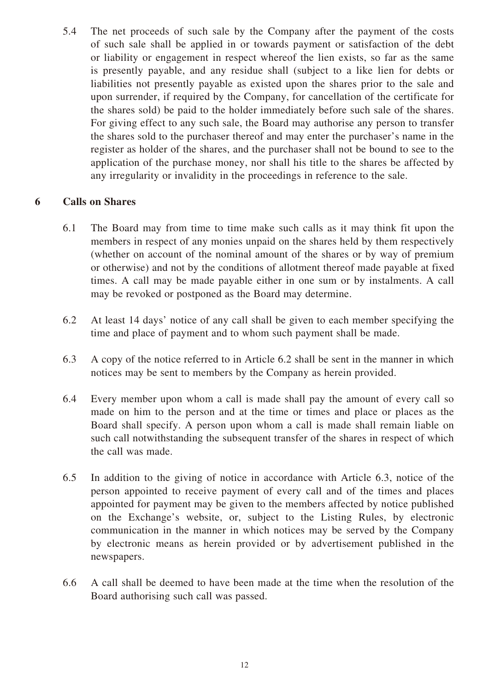5.4 The net proceeds of such sale by the Company after the payment of the costs of such sale shall be applied in or towards payment or satisfaction of the debt or liability or engagement in respect whereof the lien exists, so far as the same is presently payable, and any residue shall (subject to a like lien for debts or liabilities not presently payable as existed upon the shares prior to the sale and upon surrender, if required by the Company, for cancellation of the certificate for the shares sold) be paid to the holder immediately before such sale of the shares. For giving effect to any such sale, the Board may authorise any person to transfer the shares sold to the purchaser thereof and may enter the purchaser's name in the register as holder of the shares, and the purchaser shall not be bound to see to the application of the purchase money, nor shall his title to the shares be affected by any irregularity or invalidity in the proceedings in reference to the sale.

# **6 Calls on Shares**

- 6.1 The Board may from time to time make such calls as it may think fit upon the members in respect of any monies unpaid on the shares held by them respectively (whether on account of the nominal amount of the shares or by way of premium or otherwise) and not by the conditions of allotment thereof made payable at fixed times. A call may be made payable either in one sum or by instalments. A call may be revoked or postponed as the Board may determine.
- 6.2 At least 14 days' notice of any call shall be given to each member specifying the time and place of payment and to whom such payment shall be made.
- 6.3 A copy of the notice referred to in Article 6.2 shall be sent in the manner in which notices may be sent to members by the Company as herein provided.
- 6.4 Every member upon whom a call is made shall pay the amount of every call so made on him to the person and at the time or times and place or places as the Board shall specify. A person upon whom a call is made shall remain liable on such call notwithstanding the subsequent transfer of the shares in respect of which the call was made.
- 6.5 In addition to the giving of notice in accordance with Article 6.3, notice of the person appointed to receive payment of every call and of the times and places appointed for payment may be given to the members affected by notice published on the Exchange's website, or, subject to the Listing Rules, by electronic communication in the manner in which notices may be served by the Company by electronic means as herein provided or by advertisement published in the newspapers.
- 6.6 A call shall be deemed to have been made at the time when the resolution of the Board authorising such call was passed.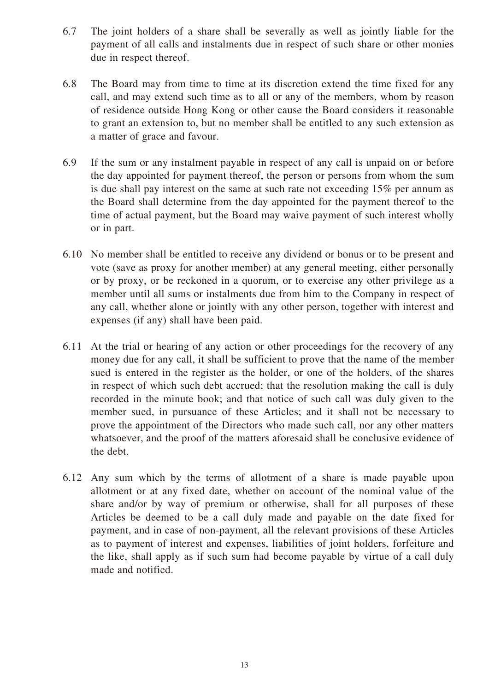- 6.7 The joint holders of a share shall be severally as well as jointly liable for the payment of all calls and instalments due in respect of such share or other monies due in respect thereof.
- 6.8 The Board may from time to time at its discretion extend the time fixed for any call, and may extend such time as to all or any of the members, whom by reason of residence outside Hong Kong or other cause the Board considers it reasonable to grant an extension to, but no member shall be entitled to any such extension as a matter of grace and favour.
- 6.9 If the sum or any instalment payable in respect of any call is unpaid on or before the day appointed for payment thereof, the person or persons from whom the sum is due shall pay interest on the same at such rate not exceeding 15% per annum as the Board shall determine from the day appointed for the payment thereof to the time of actual payment, but the Board may waive payment of such interest wholly or in part.
- 6.10 No member shall be entitled to receive any dividend or bonus or to be present and vote (save as proxy for another member) at any general meeting, either personally or by proxy, or be reckoned in a quorum, or to exercise any other privilege as a member until all sums or instalments due from him to the Company in respect of any call, whether alone or jointly with any other person, together with interest and expenses (if any) shall have been paid.
- 6.11 At the trial or hearing of any action or other proceedings for the recovery of any money due for any call, it shall be sufficient to prove that the name of the member sued is entered in the register as the holder, or one of the holders, of the shares in respect of which such debt accrued; that the resolution making the call is duly recorded in the minute book; and that notice of such call was duly given to the member sued, in pursuance of these Articles; and it shall not be necessary to prove the appointment of the Directors who made such call, nor any other matters whatsoever, and the proof of the matters aforesaid shall be conclusive evidence of the debt.
- 6.12 Any sum which by the terms of allotment of a share is made payable upon allotment or at any fixed date, whether on account of the nominal value of the share and/or by way of premium or otherwise, shall for all purposes of these Articles be deemed to be a call duly made and payable on the date fixed for payment, and in case of non-payment, all the relevant provisions of these Articles as to payment of interest and expenses, liabilities of joint holders, forfeiture and the like, shall apply as if such sum had become payable by virtue of a call duly made and notified.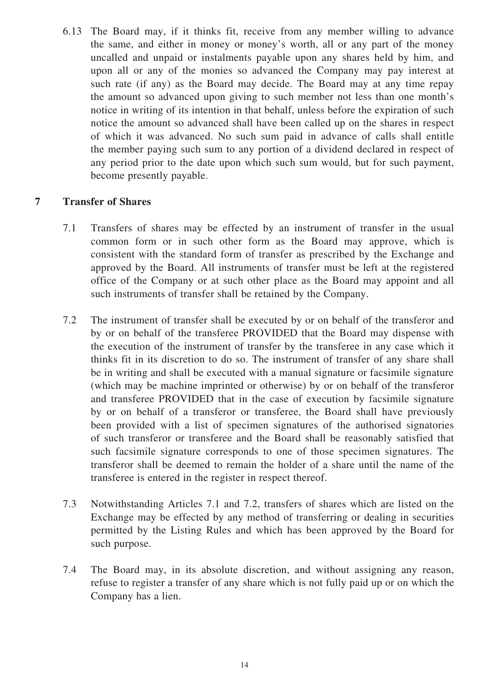6.13 The Board may, if it thinks fit, receive from any member willing to advance the same, and either in money or money's worth, all or any part of the money uncalled and unpaid or instalments payable upon any shares held by him, and upon all or any of the monies so advanced the Company may pay interest at such rate (if any) as the Board may decide. The Board may at any time repay the amount so advanced upon giving to such member not less than one month's notice in writing of its intention in that behalf, unless before the expiration of such notice the amount so advanced shall have been called up on the shares in respect of which it was advanced. No such sum paid in advance of calls shall entitle the member paying such sum to any portion of a dividend declared in respect of any period prior to the date upon which such sum would, but for such payment, become presently payable.

# **7 Transfer of Shares**

- 7.1 Transfers of shares may be effected by an instrument of transfer in the usual common form or in such other form as the Board may approve, which is consistent with the standard form of transfer as prescribed by the Exchange and approved by the Board. All instruments of transfer must be left at the registered office of the Company or at such other place as the Board may appoint and all such instruments of transfer shall be retained by the Company.
- 7.2 The instrument of transfer shall be executed by or on behalf of the transferor and by or on behalf of the transferee PROVIDED that the Board may dispense with the execution of the instrument of transfer by the transferee in any case which it thinks fit in its discretion to do so. The instrument of transfer of any share shall be in writing and shall be executed with a manual signature or facsimile signature (which may be machine imprinted or otherwise) by or on behalf of the transferor and transferee PROVIDED that in the case of execution by facsimile signature by or on behalf of a transferor or transferee, the Board shall have previously been provided with a list of specimen signatures of the authorised signatories of such transferor or transferee and the Board shall be reasonably satisfied that such facsimile signature corresponds to one of those specimen signatures. The transferor shall be deemed to remain the holder of a share until the name of the transferee is entered in the register in respect thereof.
- 7.3 Notwithstanding Articles 7.1 and 7.2, transfers of shares which are listed on the Exchange may be effected by any method of transferring or dealing in securities permitted by the Listing Rules and which has been approved by the Board for such purpose.
- 7.4 The Board may, in its absolute discretion, and without assigning any reason, refuse to register a transfer of any share which is not fully paid up or on which the Company has a lien.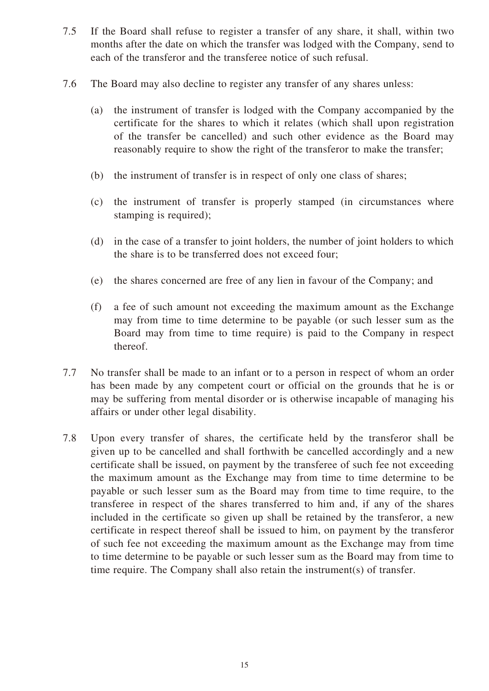- 7.5 If the Board shall refuse to register a transfer of any share, it shall, within two months after the date on which the transfer was lodged with the Company, send to each of the transferor and the transferee notice of such refusal.
- 7.6 The Board may also decline to register any transfer of any shares unless:
	- (a) the instrument of transfer is lodged with the Company accompanied by the certificate for the shares to which it relates (which shall upon registration of the transfer be cancelled) and such other evidence as the Board may reasonably require to show the right of the transferor to make the transfer;
	- (b) the instrument of transfer is in respect of only one class of shares;
	- (c) the instrument of transfer is properly stamped (in circumstances where stamping is required);
	- (d) in the case of a transfer to joint holders, the number of joint holders to which the share is to be transferred does not exceed four;
	- (e) the shares concerned are free of any lien in favour of the Company; and
	- (f) a fee of such amount not exceeding the maximum amount as the Exchange may from time to time determine to be payable (or such lesser sum as the Board may from time to time require) is paid to the Company in respect thereof.
- 7.7 No transfer shall be made to an infant or to a person in respect of whom an order has been made by any competent court or official on the grounds that he is or may be suffering from mental disorder or is otherwise incapable of managing his affairs or under other legal disability.
- 7.8 Upon every transfer of shares, the certificate held by the transferor shall be given up to be cancelled and shall forthwith be cancelled accordingly and a new certificate shall be issued, on payment by the transferee of such fee not exceeding the maximum amount as the Exchange may from time to time determine to be payable or such lesser sum as the Board may from time to time require, to the transferee in respect of the shares transferred to him and, if any of the shares included in the certificate so given up shall be retained by the transferor, a new certificate in respect thereof shall be issued to him, on payment by the transferor of such fee not exceeding the maximum amount as the Exchange may from time to time determine to be payable or such lesser sum as the Board may from time to time require. The Company shall also retain the instrument(s) of transfer.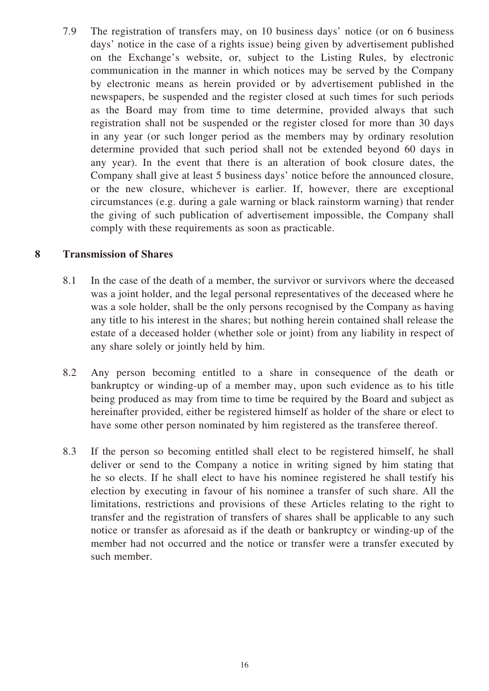7.9 The registration of transfers may, on 10 business days' notice (or on 6 business days' notice in the case of a rights issue) being given by advertisement published on the Exchange's website, or, subject to the Listing Rules, by electronic communication in the manner in which notices may be served by the Company by electronic means as herein provided or by advertisement published in the newspapers, be suspended and the register closed at such times for such periods as the Board may from time to time determine, provided always that such registration shall not be suspended or the register closed for more than 30 days in any year (or such longer period as the members may by ordinary resolution determine provided that such period shall not be extended beyond 60 days in any year). In the event that there is an alteration of book closure dates, the Company shall give at least 5 business days' notice before the announced closure, or the new closure, whichever is earlier. If, however, there are exceptional circumstances (e.g. during a gale warning or black rainstorm warning) that render the giving of such publication of advertisement impossible, the Company shall comply with these requirements as soon as practicable.

# **8 Transmission of Shares**

- 8.1 In the case of the death of a member, the survivor or survivors where the deceased was a joint holder, and the legal personal representatives of the deceased where he was a sole holder, shall be the only persons recognised by the Company as having any title to his interest in the shares; but nothing herein contained shall release the estate of a deceased holder (whether sole or joint) from any liability in respect of any share solely or jointly held by him.
- 8.2 Any person becoming entitled to a share in consequence of the death or bankruptcy or winding-up of a member may, upon such evidence as to his title being produced as may from time to time be required by the Board and subject as hereinafter provided, either be registered himself as holder of the share or elect to have some other person nominated by him registered as the transferee thereof.
- 8.3 If the person so becoming entitled shall elect to be registered himself, he shall deliver or send to the Company a notice in writing signed by him stating that he so elects. If he shall elect to have his nominee registered he shall testify his election by executing in favour of his nominee a transfer of such share. All the limitations, restrictions and provisions of these Articles relating to the right to transfer and the registration of transfers of shares shall be applicable to any such notice or transfer as aforesaid as if the death or bankruptcy or winding-up of the member had not occurred and the notice or transfer were a transfer executed by such member.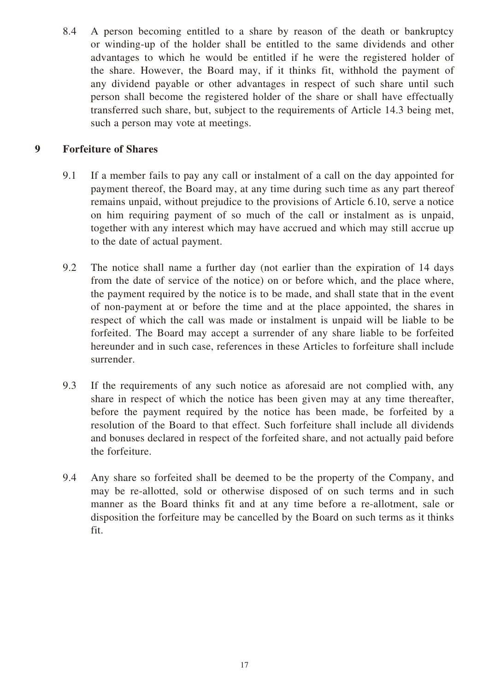8.4 A person becoming entitled to a share by reason of the death or bankruptcy or winding-up of the holder shall be entitled to the same dividends and other advantages to which he would be entitled if he were the registered holder of the share. However, the Board may, if it thinks fit, withhold the payment of any dividend payable or other advantages in respect of such share until such person shall become the registered holder of the share or shall have effectually transferred such share, but, subject to the requirements of Article 14.3 being met, such a person may vote at meetings.

# **9 Forfeiture of Shares**

- 9.1 If a member fails to pay any call or instalment of a call on the day appointed for payment thereof, the Board may, at any time during such time as any part thereof remains unpaid, without prejudice to the provisions of Article 6.10, serve a notice on him requiring payment of so much of the call or instalment as is unpaid, together with any interest which may have accrued and which may still accrue up to the date of actual payment.
- 9.2 The notice shall name a further day (not earlier than the expiration of 14 days from the date of service of the notice) on or before which, and the place where, the payment required by the notice is to be made, and shall state that in the event of non-payment at or before the time and at the place appointed, the shares in respect of which the call was made or instalment is unpaid will be liable to be forfeited. The Board may accept a surrender of any share liable to be forfeited hereunder and in such case, references in these Articles to forfeiture shall include surrender.
- 9.3 If the requirements of any such notice as aforesaid are not complied with, any share in respect of which the notice has been given may at any time thereafter, before the payment required by the notice has been made, be forfeited by a resolution of the Board to that effect. Such forfeiture shall include all dividends and bonuses declared in respect of the forfeited share, and not actually paid before the forfeiture.
- 9.4 Any share so forfeited shall be deemed to be the property of the Company, and may be re-allotted, sold or otherwise disposed of on such terms and in such manner as the Board thinks fit and at any time before a re-allotment, sale or disposition the forfeiture may be cancelled by the Board on such terms as it thinks fit.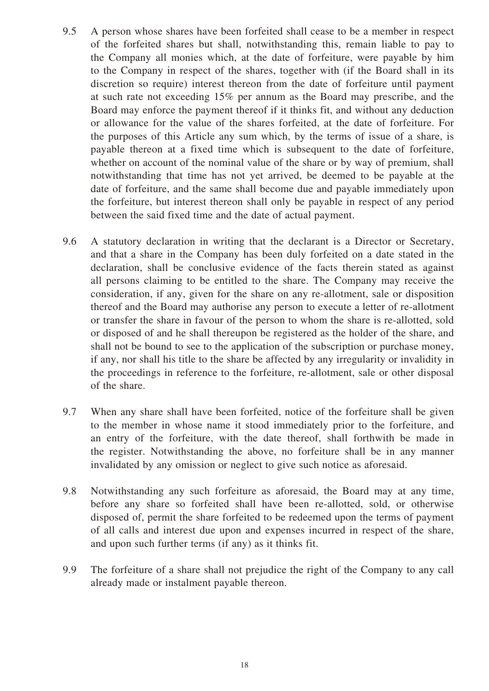- 9.5 A person whose shares have been forfeited shall cease to be a member in respect of the forfeited shares but shall, notwithstanding this, remain liable to pay to the Company all monies which, at the date of forfeiture, were payable by him to the Company in respect of the shares, together with (if the Board shall in its discretion so require) interest thereon from the date of forfeiture until payment at such rate not exceeding 15% per annum as the Board may prescribe, and the Board may enforce the payment thereof if it thinks fit, and without any deduction or allowance for the value of the shares forfeited, at the date of forfeiture. For the purposes of this Article any sum which, by the terms of issue of a share, is payable thereon at a fixed time which is subsequent to the date of forfeiture, whether on account of the nominal value of the share or by way of premium, shall notwithstanding that time has not yet arrived, be deemed to be payable at the date of forfeiture, and the same shall become due and payable immediately upon the forfeiture, but interest thereon shall only be payable in respect of any period between the said fixed time and the date of actual payment.
- 9.6 A statutory declaration in writing that the declarant is a Director or Secretary, and that a share in the Company has been duly forfeited on a date stated in the declaration, shall be conclusive evidence of the facts therein stated as against all persons claiming to be entitled to the share. The Company may receive the consideration, if any, given for the share on any re-allotment, sale or disposition thereof and the Board may authorise any person to execute a letter of re-allotment or transfer the share in favour of the person to whom the share is re-allotted, sold or disposed of and he shall thereupon be registered as the holder of the share, and shall not be bound to see to the application of the subscription or purchase money, if any, nor shall his title to the share be affected by any irregularity or invalidity in the proceedings in reference to the forfeiture, re-allotment, sale or other disposal of the share.
- 9.7 When any share shall have been forfeited, notice of the forfeiture shall be given to the member in whose name it stood immediately prior to the forfeiture, and an entry of the forfeiture, with the date thereof, shall forthwith be made in the register. Notwithstanding the above, no forfeiture shall be in any manner invalidated by any omission or neglect to give such notice as aforesaid.
- 9.8 Notwithstanding any such forfeiture as aforesaid, the Board may at any time, before any share so forfeited shall have been re-allotted, sold, or otherwise disposed of, permit the share forfeited to be redeemed upon the terms of payment of all calls and interest due upon and expenses incurred in respect of the share, and upon such further terms (if any) as it thinks fit.
- 9.9 The forfeiture of a share shall not prejudice the right of the Company to any call already made or instalment payable thereon.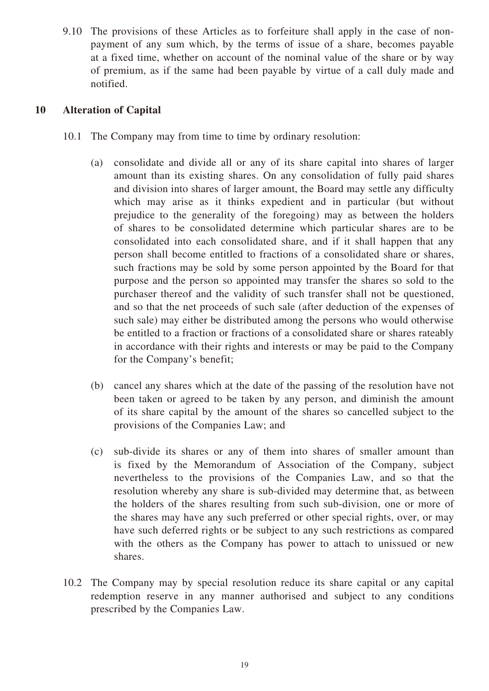9.10 The provisions of these Articles as to forfeiture shall apply in the case of nonpayment of any sum which, by the terms of issue of a share, becomes payable at a fixed time, whether on account of the nominal value of the share or by way of premium, as if the same had been payable by virtue of a call duly made and notified.

# **10 Alteration of Capital**

- 10.1 The Company may from time to time by ordinary resolution:
	- (a) consolidate and divide all or any of its share capital into shares of larger amount than its existing shares. On any consolidation of fully paid shares and division into shares of larger amount, the Board may settle any difficulty which may arise as it thinks expedient and in particular (but without prejudice to the generality of the foregoing) may as between the holders of shares to be consolidated determine which particular shares are to be consolidated into each consolidated share, and if it shall happen that any person shall become entitled to fractions of a consolidated share or shares, such fractions may be sold by some person appointed by the Board for that purpose and the person so appointed may transfer the shares so sold to the purchaser thereof and the validity of such transfer shall not be questioned, and so that the net proceeds of such sale (after deduction of the expenses of such sale) may either be distributed among the persons who would otherwise be entitled to a fraction or fractions of a consolidated share or shares rateably in accordance with their rights and interests or may be paid to the Company for the Company's benefit;
	- (b) cancel any shares which at the date of the passing of the resolution have not been taken or agreed to be taken by any person, and diminish the amount of its share capital by the amount of the shares so cancelled subject to the provisions of the Companies Law; and
	- (c) sub-divide its shares or any of them into shares of smaller amount than is fixed by the Memorandum of Association of the Company, subject nevertheless to the provisions of the Companies Law, and so that the resolution whereby any share is sub-divided may determine that, as between the holders of the shares resulting from such sub-division, one or more of the shares may have any such preferred or other special rights, over, or may have such deferred rights or be subject to any such restrictions as compared with the others as the Company has power to attach to unissued or new shares.
- 10.2 The Company may by special resolution reduce its share capital or any capital redemption reserve in any manner authorised and subject to any conditions prescribed by the Companies Law.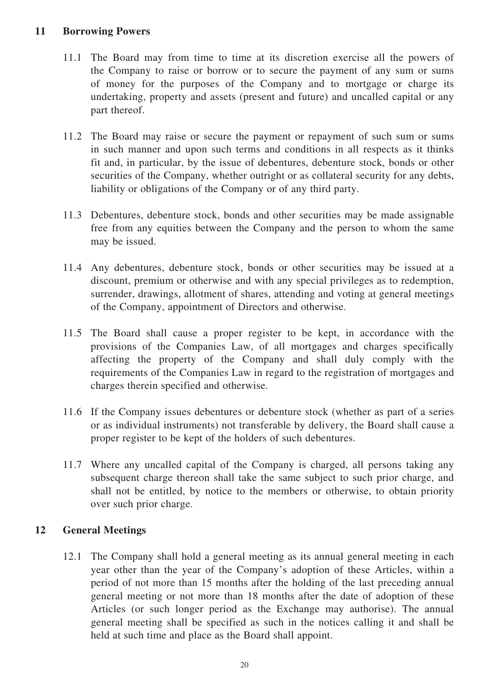# **11 Borrowing Powers**

- 11.1 The Board may from time to time at its discretion exercise all the powers of the Company to raise or borrow or to secure the payment of any sum or sums of money for the purposes of the Company and to mortgage or charge its undertaking, property and assets (present and future) and uncalled capital or any part thereof.
- 11.2 The Board may raise or secure the payment or repayment of such sum or sums in such manner and upon such terms and conditions in all respects as it thinks fit and, in particular, by the issue of debentures, debenture stock, bonds or other securities of the Company, whether outright or as collateral security for any debts, liability or obligations of the Company or of any third party.
- 11.3 Debentures, debenture stock, bonds and other securities may be made assignable free from any equities between the Company and the person to whom the same may be issued.
- 11.4 Any debentures, debenture stock, bonds or other securities may be issued at a discount, premium or otherwise and with any special privileges as to redemption, surrender, drawings, allotment of shares, attending and voting at general meetings of the Company, appointment of Directors and otherwise.
- 11.5 The Board shall cause a proper register to be kept, in accordance with the provisions of the Companies Law, of all mortgages and charges specifically affecting the property of the Company and shall duly comply with the requirements of the Companies Law in regard to the registration of mortgages and charges therein specified and otherwise.
- 11.6 If the Company issues debentures or debenture stock (whether as part of a series or as individual instruments) not transferable by delivery, the Board shall cause a proper register to be kept of the holders of such debentures.
- 11.7 Where any uncalled capital of the Company is charged, all persons taking any subsequent charge thereon shall take the same subject to such prior charge, and shall not be entitled, by notice to the members or otherwise, to obtain priority over such prior charge.

# **12 General Meetings**

12.1 The Company shall hold a general meeting as its annual general meeting in each year other than the year of the Company's adoption of these Articles, within a period of not more than 15 months after the holding of the last preceding annual general meeting or not more than 18 months after the date of adoption of these Articles (or such longer period as the Exchange may authorise). The annual general meeting shall be specified as such in the notices calling it and shall be held at such time and place as the Board shall appoint.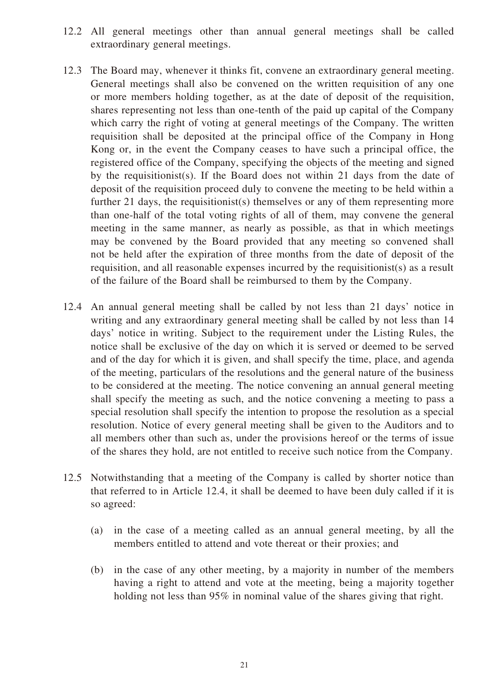- 12.2 All general meetings other than annual general meetings shall be called extraordinary general meetings.
- 12.3 The Board may, whenever it thinks fit, convene an extraordinary general meeting. General meetings shall also be convened on the written requisition of any one or more members holding together, as at the date of deposit of the requisition, shares representing not less than one-tenth of the paid up capital of the Company which carry the right of voting at general meetings of the Company. The written requisition shall be deposited at the principal office of the Company in Hong Kong or, in the event the Company ceases to have such a principal office, the registered office of the Company, specifying the objects of the meeting and signed by the requisitionist(s). If the Board does not within 21 days from the date of deposit of the requisition proceed duly to convene the meeting to be held within a further 21 days, the requisitionist(s) themselves or any of them representing more than one-half of the total voting rights of all of them, may convene the general meeting in the same manner, as nearly as possible, as that in which meetings may be convened by the Board provided that any meeting so convened shall not be held after the expiration of three months from the date of deposit of the requisition, and all reasonable expenses incurred by the requisitionist(s) as a result of the failure of the Board shall be reimbursed to them by the Company.
- 12.4 An annual general meeting shall be called by not less than 21 days' notice in writing and any extraordinary general meeting shall be called by not less than 14 days' notice in writing. Subject to the requirement under the Listing Rules, the notice shall be exclusive of the day on which it is served or deemed to be served and of the day for which it is given, and shall specify the time, place, and agenda of the meeting, particulars of the resolutions and the general nature of the business to be considered at the meeting. The notice convening an annual general meeting shall specify the meeting as such, and the notice convening a meeting to pass a special resolution shall specify the intention to propose the resolution as a special resolution. Notice of every general meeting shall be given to the Auditors and to all members other than such as, under the provisions hereof or the terms of issue of the shares they hold, are not entitled to receive such notice from the Company.
- 12.5 Notwithstanding that a meeting of the Company is called by shorter notice than that referred to in Article 12.4, it shall be deemed to have been duly called if it is so agreed:
	- (a) in the case of a meeting called as an annual general meeting, by all the members entitled to attend and vote thereat or their proxies; and
	- (b) in the case of any other meeting, by a majority in number of the members having a right to attend and vote at the meeting, being a majority together holding not less than 95% in nominal value of the shares giving that right.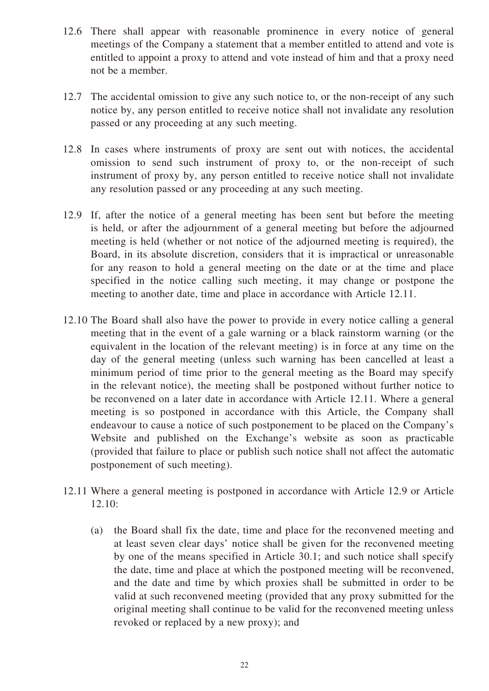- 12.6 There shall appear with reasonable prominence in every notice of general meetings of the Company a statement that a member entitled to attend and vote is entitled to appoint a proxy to attend and vote instead of him and that a proxy need not be a member.
- 12.7 The accidental omission to give any such notice to, or the non-receipt of any such notice by, any person entitled to receive notice shall not invalidate any resolution passed or any proceeding at any such meeting.
- 12.8 In cases where instruments of proxy are sent out with notices, the accidental omission to send such instrument of proxy to, or the non-receipt of such instrument of proxy by, any person entitled to receive notice shall not invalidate any resolution passed or any proceeding at any such meeting.
- 12.9 If, after the notice of a general meeting has been sent but before the meeting is held, or after the adjournment of a general meeting but before the adjourned meeting is held (whether or not notice of the adjourned meeting is required), the Board, in its absolute discretion, considers that it is impractical or unreasonable for any reason to hold a general meeting on the date or at the time and place specified in the notice calling such meeting, it may change or postpone the meeting to another date, time and place in accordance with Article 12.11.
- 12.10 The Board shall also have the power to provide in every notice calling a general meeting that in the event of a gale warning or a black rainstorm warning (or the equivalent in the location of the relevant meeting) is in force at any time on the day of the general meeting (unless such warning has been cancelled at least a minimum period of time prior to the general meeting as the Board may specify in the relevant notice), the meeting shall be postponed without further notice to be reconvened on a later date in accordance with Article 12.11. Where a general meeting is so postponed in accordance with this Article, the Company shall endeavour to cause a notice of such postponement to be placed on the Company's Website and published on the Exchange's website as soon as practicable (provided that failure to place or publish such notice shall not affect the automatic postponement of such meeting).
- 12.11 Where a general meeting is postponed in accordance with Article 12.9 or Article 12.10:
	- (a) the Board shall fix the date, time and place for the reconvened meeting and at least seven clear days' notice shall be given for the reconvened meeting by one of the means specified in Article 30.1; and such notice shall specify the date, time and place at which the postponed meeting will be reconvened, and the date and time by which proxies shall be submitted in order to be valid at such reconvened meeting (provided that any proxy submitted for the original meeting shall continue to be valid for the reconvened meeting unless revoked or replaced by a new proxy); and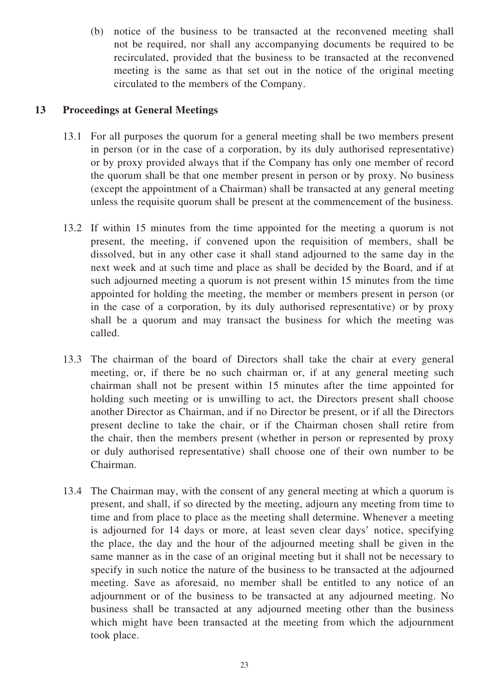(b) notice of the business to be transacted at the reconvened meeting shall not be required, nor shall any accompanying documents be required to be recirculated, provided that the business to be transacted at the reconvened meeting is the same as that set out in the notice of the original meeting circulated to the members of the Company.

# **13 Proceedings at General Meetings**

- 13.1 For all purposes the quorum for a general meeting shall be two members present in person (or in the case of a corporation, by its duly authorised representative) or by proxy provided always that if the Company has only one member of record the quorum shall be that one member present in person or by proxy. No business (except the appointment of a Chairman) shall be transacted at any general meeting unless the requisite quorum shall be present at the commencement of the business.
- 13.2 If within 15 minutes from the time appointed for the meeting a quorum is not present, the meeting, if convened upon the requisition of members, shall be dissolved, but in any other case it shall stand adjourned to the same day in the next week and at such time and place as shall be decided by the Board, and if at such adjourned meeting a quorum is not present within 15 minutes from the time appointed for holding the meeting, the member or members present in person (or in the case of a corporation, by its duly authorised representative) or by proxy shall be a quorum and may transact the business for which the meeting was called.
- 13.3 The chairman of the board of Directors shall take the chair at every general meeting, or, if there be no such chairman or, if at any general meeting such chairman shall not be present within 15 minutes after the time appointed for holding such meeting or is unwilling to act, the Directors present shall choose another Director as Chairman, and if no Director be present, or if all the Directors present decline to take the chair, or if the Chairman chosen shall retire from the chair, then the members present (whether in person or represented by proxy or duly authorised representative) shall choose one of their own number to be Chairman.
- 13.4 The Chairman may, with the consent of any general meeting at which a quorum is present, and shall, if so directed by the meeting, adjourn any meeting from time to time and from place to place as the meeting shall determine. Whenever a meeting is adjourned for 14 days or more, at least seven clear days' notice, specifying the place, the day and the hour of the adjourned meeting shall be given in the same manner as in the case of an original meeting but it shall not be necessary to specify in such notice the nature of the business to be transacted at the adjourned meeting. Save as aforesaid, no member shall be entitled to any notice of an adjournment or of the business to be transacted at any adjourned meeting. No business shall be transacted at any adjourned meeting other than the business which might have been transacted at the meeting from which the adjournment took place.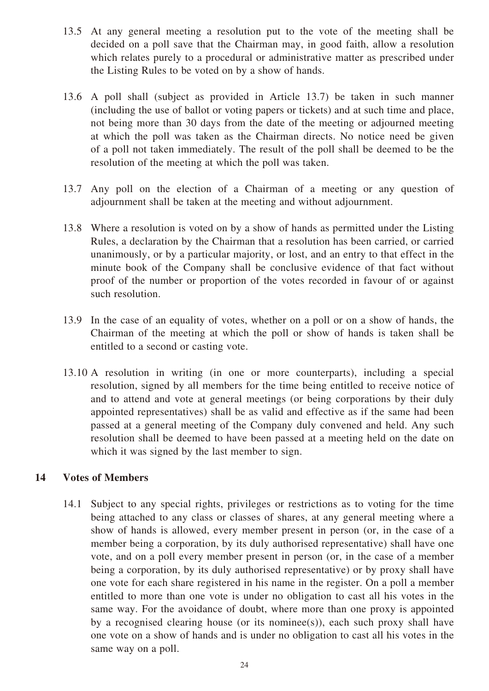- 13.5 At any general meeting a resolution put to the vote of the meeting shall be decided on a poll save that the Chairman may, in good faith, allow a resolution which relates purely to a procedural or administrative matter as prescribed under the Listing Rules to be voted on by a show of hands.
- 13.6 A poll shall (subject as provided in Article 13.7) be taken in such manner (including the use of ballot or voting papers or tickets) and at such time and place, not being more than 30 days from the date of the meeting or adjourned meeting at which the poll was taken as the Chairman directs. No notice need be given of a poll not taken immediately. The result of the poll shall be deemed to be the resolution of the meeting at which the poll was taken.
- 13.7 Any poll on the election of a Chairman of a meeting or any question of adjournment shall be taken at the meeting and without adjournment.
- 13.8 Where a resolution is voted on by a show of hands as permitted under the Listing Rules, a declaration by the Chairman that a resolution has been carried, or carried unanimously, or by a particular majority, or lost, and an entry to that effect in the minute book of the Company shall be conclusive evidence of that fact without proof of the number or proportion of the votes recorded in favour of or against such resolution.
- 13.9 In the case of an equality of votes, whether on a poll or on a show of hands, the Chairman of the meeting at which the poll or show of hands is taken shall be entitled to a second or casting vote.
- 13.10 A resolution in writing (in one or more counterparts), including a special resolution, signed by all members for the time being entitled to receive notice of and to attend and vote at general meetings (or being corporations by their duly appointed representatives) shall be as valid and effective as if the same had been passed at a general meeting of the Company duly convened and held. Any such resolution shall be deemed to have been passed at a meeting held on the date on which it was signed by the last member to sign.

# **14 Votes of Members**

14.1 Subject to any special rights, privileges or restrictions as to voting for the time being attached to any class or classes of shares, at any general meeting where a show of hands is allowed, every member present in person (or, in the case of a member being a corporation, by its duly authorised representative) shall have one vote, and on a poll every member present in person (or, in the case of a member being a corporation, by its duly authorised representative) or by proxy shall have one vote for each share registered in his name in the register. On a poll a member entitled to more than one vote is under no obligation to cast all his votes in the same way. For the avoidance of doubt, where more than one proxy is appointed by a recognised clearing house (or its nominee(s)), each such proxy shall have one vote on a show of hands and is under no obligation to cast all his votes in the same way on a poll.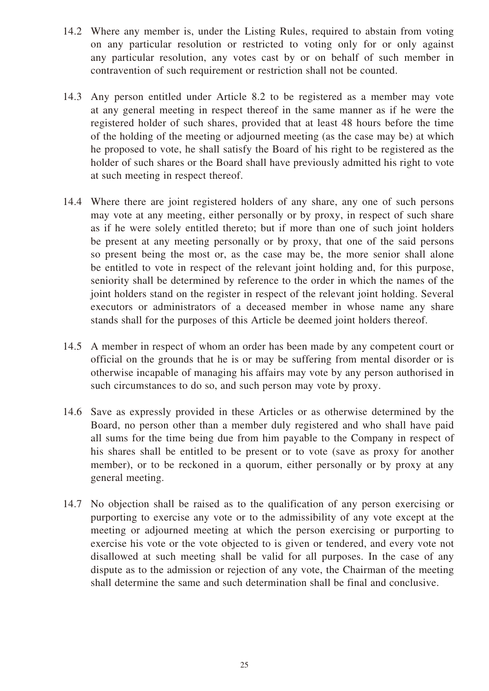- 14.2 Where any member is, under the Listing Rules, required to abstain from voting on any particular resolution or restricted to voting only for or only against any particular resolution, any votes cast by or on behalf of such member in contravention of such requirement or restriction shall not be counted.
- 14.3 Any person entitled under Article 8.2 to be registered as a member may vote at any general meeting in respect thereof in the same manner as if he were the registered holder of such shares, provided that at least 48 hours before the time of the holding of the meeting or adjourned meeting (as the case may be) at which he proposed to vote, he shall satisfy the Board of his right to be registered as the holder of such shares or the Board shall have previously admitted his right to vote at such meeting in respect thereof.
- 14.4 Where there are joint registered holders of any share, any one of such persons may vote at any meeting, either personally or by proxy, in respect of such share as if he were solely entitled thereto; but if more than one of such joint holders be present at any meeting personally or by proxy, that one of the said persons so present being the most or, as the case may be, the more senior shall alone be entitled to vote in respect of the relevant joint holding and, for this purpose, seniority shall be determined by reference to the order in which the names of the joint holders stand on the register in respect of the relevant joint holding. Several executors or administrators of a deceased member in whose name any share stands shall for the purposes of this Article be deemed joint holders thereof.
- 14.5 A member in respect of whom an order has been made by any competent court or official on the grounds that he is or may be suffering from mental disorder or is otherwise incapable of managing his affairs may vote by any person authorised in such circumstances to do so, and such person may vote by proxy.
- 14.6 Save as expressly provided in these Articles or as otherwise determined by the Board, no person other than a member duly registered and who shall have paid all sums for the time being due from him payable to the Company in respect of his shares shall be entitled to be present or to vote (save as proxy for another member), or to be reckoned in a quorum, either personally or by proxy at any general meeting.
- 14.7 No objection shall be raised as to the qualification of any person exercising or purporting to exercise any vote or to the admissibility of any vote except at the meeting or adjourned meeting at which the person exercising or purporting to exercise his vote or the vote objected to is given or tendered, and every vote not disallowed at such meeting shall be valid for all purposes. In the case of any dispute as to the admission or rejection of any vote, the Chairman of the meeting shall determine the same and such determination shall be final and conclusive.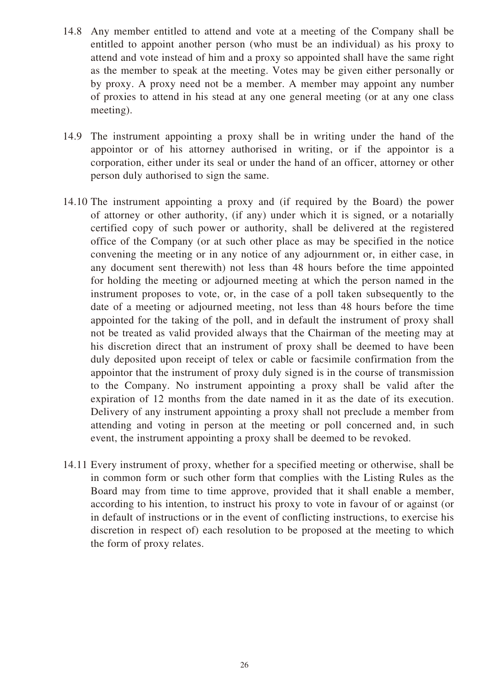- 14.8 Any member entitled to attend and vote at a meeting of the Company shall be entitled to appoint another person (who must be an individual) as his proxy to attend and vote instead of him and a proxy so appointed shall have the same right as the member to speak at the meeting. Votes may be given either personally or by proxy. A proxy need not be a member. A member may appoint any number of proxies to attend in his stead at any one general meeting (or at any one class meeting).
- 14.9 The instrument appointing a proxy shall be in writing under the hand of the appointor or of his attorney authorised in writing, or if the appointor is a corporation, either under its seal or under the hand of an officer, attorney or other person duly authorised to sign the same.
- 14.10 The instrument appointing a proxy and (if required by the Board) the power of attorney or other authority, (if any) under which it is signed, or a notarially certified copy of such power or authority, shall be delivered at the registered office of the Company (or at such other place as may be specified in the notice convening the meeting or in any notice of any adjournment or, in either case, in any document sent therewith) not less than 48 hours before the time appointed for holding the meeting or adjourned meeting at which the person named in the instrument proposes to vote, or, in the case of a poll taken subsequently to the date of a meeting or adjourned meeting, not less than 48 hours before the time appointed for the taking of the poll, and in default the instrument of proxy shall not be treated as valid provided always that the Chairman of the meeting may at his discretion direct that an instrument of proxy shall be deemed to have been duly deposited upon receipt of telex or cable or facsimile confirmation from the appointor that the instrument of proxy duly signed is in the course of transmission to the Company. No instrument appointing a proxy shall be valid after the expiration of 12 months from the date named in it as the date of its execution. Delivery of any instrument appointing a proxy shall not preclude a member from attending and voting in person at the meeting or poll concerned and, in such event, the instrument appointing a proxy shall be deemed to be revoked.
- 14.11 Every instrument of proxy, whether for a specified meeting or otherwise, shall be in common form or such other form that complies with the Listing Rules as the Board may from time to time approve, provided that it shall enable a member, according to his intention, to instruct his proxy to vote in favour of or against (or in default of instructions or in the event of conflicting instructions, to exercise his discretion in respect of) each resolution to be proposed at the meeting to which the form of proxy relates.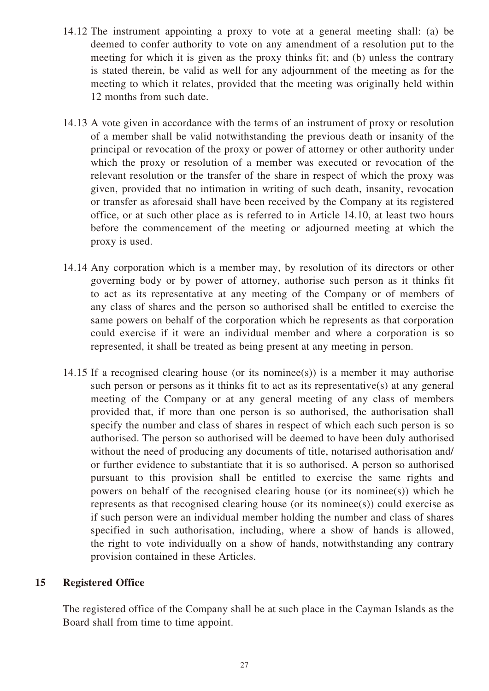- 14.12 The instrument appointing a proxy to vote at a general meeting shall: (a) be deemed to confer authority to vote on any amendment of a resolution put to the meeting for which it is given as the proxy thinks fit; and (b) unless the contrary is stated therein, be valid as well for any adjournment of the meeting as for the meeting to which it relates, provided that the meeting was originally held within 12 months from such date.
- 14.13 A vote given in accordance with the terms of an instrument of proxy or resolution of a member shall be valid notwithstanding the previous death or insanity of the principal or revocation of the proxy or power of attorney or other authority under which the proxy or resolution of a member was executed or revocation of the relevant resolution or the transfer of the share in respect of which the proxy was given, provided that no intimation in writing of such death, insanity, revocation or transfer as aforesaid shall have been received by the Company at its registered office, or at such other place as is referred to in Article 14.10, at least two hours before the commencement of the meeting or adjourned meeting at which the proxy is used.
- 14.14 Any corporation which is a member may, by resolution of its directors or other governing body or by power of attorney, authorise such person as it thinks fit to act as its representative at any meeting of the Company or of members of any class of shares and the person so authorised shall be entitled to exercise the same powers on behalf of the corporation which he represents as that corporation could exercise if it were an individual member and where a corporation is so represented, it shall be treated as being present at any meeting in person.
- 14.15 If a recognised clearing house (or its nominee(s)) is a member it may authorise such person or persons as it thinks fit to act as its representative(s) at any general meeting of the Company or at any general meeting of any class of members provided that, if more than one person is so authorised, the authorisation shall specify the number and class of shares in respect of which each such person is so authorised. The person so authorised will be deemed to have been duly authorised without the need of producing any documents of title, notarised authorisation and/ or further evidence to substantiate that it is so authorised. A person so authorised pursuant to this provision shall be entitled to exercise the same rights and powers on behalf of the recognised clearing house (or its nominee(s)) which he represents as that recognised clearing house (or its nominee(s)) could exercise as if such person were an individual member holding the number and class of shares specified in such authorisation, including, where a show of hands is allowed, the right to vote individually on a show of hands, notwithstanding any contrary provision contained in these Articles.

# **15 Registered Office**

The registered office of the Company shall be at such place in the Cayman Islands as the Board shall from time to time appoint.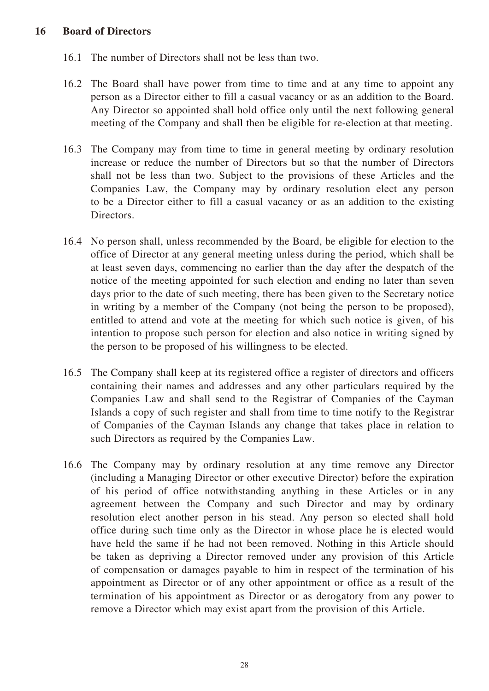#### **16 Board of Directors**

- 16.1 The number of Directors shall not be less than two.
- 16.2 The Board shall have power from time to time and at any time to appoint any person as a Director either to fill a casual vacancy or as an addition to the Board. Any Director so appointed shall hold office only until the next following general meeting of the Company and shall then be eligible for re-election at that meeting.
- 16.3 The Company may from time to time in general meeting by ordinary resolution increase or reduce the number of Directors but so that the number of Directors shall not be less than two. Subject to the provisions of these Articles and the Companies Law, the Company may by ordinary resolution elect any person to be a Director either to fill a casual vacancy or as an addition to the existing Directors.
- 16.4 No person shall, unless recommended by the Board, be eligible for election to the office of Director at any general meeting unless during the period, which shall be at least seven days, commencing no earlier than the day after the despatch of the notice of the meeting appointed for such election and ending no later than seven days prior to the date of such meeting, there has been given to the Secretary notice in writing by a member of the Company (not being the person to be proposed), entitled to attend and vote at the meeting for which such notice is given, of his intention to propose such person for election and also notice in writing signed by the person to be proposed of his willingness to be elected.
- 16.5 The Company shall keep at its registered office a register of directors and officers containing their names and addresses and any other particulars required by the Companies Law and shall send to the Registrar of Companies of the Cayman Islands a copy of such register and shall from time to time notify to the Registrar of Companies of the Cayman Islands any change that takes place in relation to such Directors as required by the Companies Law.
- 16.6 The Company may by ordinary resolution at any time remove any Director (including a Managing Director or other executive Director) before the expiration of his period of office notwithstanding anything in these Articles or in any agreement between the Company and such Director and may by ordinary resolution elect another person in his stead. Any person so elected shall hold office during such time only as the Director in whose place he is elected would have held the same if he had not been removed. Nothing in this Article should be taken as depriving a Director removed under any provision of this Article of compensation or damages payable to him in respect of the termination of his appointment as Director or of any other appointment or office as a result of the termination of his appointment as Director or as derogatory from any power to remove a Director which may exist apart from the provision of this Article.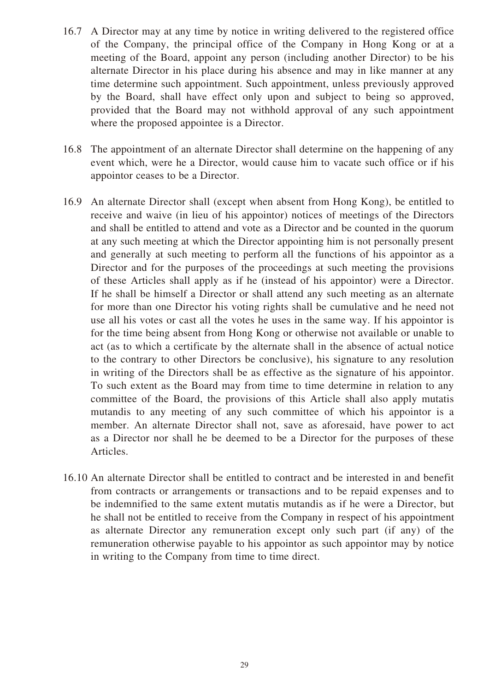- 16.7 A Director may at any time by notice in writing delivered to the registered office of the Company, the principal office of the Company in Hong Kong or at a meeting of the Board, appoint any person (including another Director) to be his alternate Director in his place during his absence and may in like manner at any time determine such appointment. Such appointment, unless previously approved by the Board, shall have effect only upon and subject to being so approved, provided that the Board may not withhold approval of any such appointment where the proposed appointee is a Director.
- 16.8 The appointment of an alternate Director shall determine on the happening of any event which, were he a Director, would cause him to vacate such office or if his appointor ceases to be a Director.
- 16.9 An alternate Director shall (except when absent from Hong Kong), be entitled to receive and waive (in lieu of his appointor) notices of meetings of the Directors and shall be entitled to attend and vote as a Director and be counted in the quorum at any such meeting at which the Director appointing him is not personally present and generally at such meeting to perform all the functions of his appointor as a Director and for the purposes of the proceedings at such meeting the provisions of these Articles shall apply as if he (instead of his appointor) were a Director. If he shall be himself a Director or shall attend any such meeting as an alternate for more than one Director his voting rights shall be cumulative and he need not use all his votes or cast all the votes he uses in the same way. If his appointor is for the time being absent from Hong Kong or otherwise not available or unable to act (as to which a certificate by the alternate shall in the absence of actual notice to the contrary to other Directors be conclusive), his signature to any resolution in writing of the Directors shall be as effective as the signature of his appointor. To such extent as the Board may from time to time determine in relation to any committee of the Board, the provisions of this Article shall also apply mutatis mutandis to any meeting of any such committee of which his appointor is a member. An alternate Director shall not, save as aforesaid, have power to act as a Director nor shall he be deemed to be a Director for the purposes of these Articles.
- 16.10 An alternate Director shall be entitled to contract and be interested in and benefit from contracts or arrangements or transactions and to be repaid expenses and to be indemnified to the same extent mutatis mutandis as if he were a Director, but he shall not be entitled to receive from the Company in respect of his appointment as alternate Director any remuneration except only such part (if any) of the remuneration otherwise payable to his appointor as such appointor may by notice in writing to the Company from time to time direct.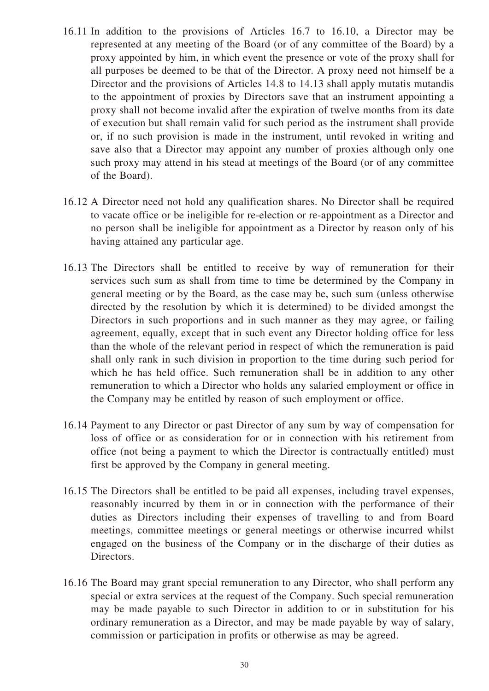- 16.11 In addition to the provisions of Articles 16.7 to 16.10, a Director may be represented at any meeting of the Board (or of any committee of the Board) by a proxy appointed by him, in which event the presence or vote of the proxy shall for all purposes be deemed to be that of the Director. A proxy need not himself be a Director and the provisions of Articles 14.8 to 14.13 shall apply mutatis mutandis to the appointment of proxies by Directors save that an instrument appointing a proxy shall not become invalid after the expiration of twelve months from its date of execution but shall remain valid for such period as the instrument shall provide or, if no such provision is made in the instrument, until revoked in writing and save also that a Director may appoint any number of proxies although only one such proxy may attend in his stead at meetings of the Board (or of any committee of the Board).
- 16.12 A Director need not hold any qualification shares. No Director shall be required to vacate office or be ineligible for re-election or re-appointment as a Director and no person shall be ineligible for appointment as a Director by reason only of his having attained any particular age.
- 16.13 The Directors shall be entitled to receive by way of remuneration for their services such sum as shall from time to time be determined by the Company in general meeting or by the Board, as the case may be, such sum (unless otherwise directed by the resolution by which it is determined) to be divided amongst the Directors in such proportions and in such manner as they may agree, or failing agreement, equally, except that in such event any Director holding office for less than the whole of the relevant period in respect of which the remuneration is paid shall only rank in such division in proportion to the time during such period for which he has held office. Such remuneration shall be in addition to any other remuneration to which a Director who holds any salaried employment or office in the Company may be entitled by reason of such employment or office.
- 16.14 Payment to any Director or past Director of any sum by way of compensation for loss of office or as consideration for or in connection with his retirement from office (not being a payment to which the Director is contractually entitled) must first be approved by the Company in general meeting.
- 16.15 The Directors shall be entitled to be paid all expenses, including travel expenses, reasonably incurred by them in or in connection with the performance of their duties as Directors including their expenses of travelling to and from Board meetings, committee meetings or general meetings or otherwise incurred whilst engaged on the business of the Company or in the discharge of their duties as Directors.
- 16.16 The Board may grant special remuneration to any Director, who shall perform any special or extra services at the request of the Company. Such special remuneration may be made payable to such Director in addition to or in substitution for his ordinary remuneration as a Director, and may be made payable by way of salary, commission or participation in profits or otherwise as may be agreed.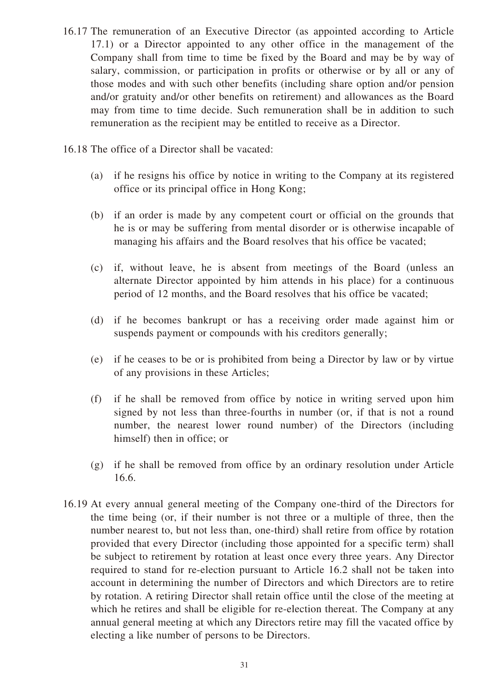- 16.17 The remuneration of an Executive Director (as appointed according to Article 17.1) or a Director appointed to any other office in the management of the Company shall from time to time be fixed by the Board and may be by way of salary, commission, or participation in profits or otherwise or by all or any of those modes and with such other benefits (including share option and/or pension and/or gratuity and/or other benefits on retirement) and allowances as the Board may from time to time decide. Such remuneration shall be in addition to such remuneration as the recipient may be entitled to receive as a Director.
- 16.18 The office of a Director shall be vacated:
	- (a) if he resigns his office by notice in writing to the Company at its registered office or its principal office in Hong Kong;
	- (b) if an order is made by any competent court or official on the grounds that he is or may be suffering from mental disorder or is otherwise incapable of managing his affairs and the Board resolves that his office be vacated;
	- (c) if, without leave, he is absent from meetings of the Board (unless an alternate Director appointed by him attends in his place) for a continuous period of 12 months, and the Board resolves that his office be vacated;
	- (d) if he becomes bankrupt or has a receiving order made against him or suspends payment or compounds with his creditors generally;
	- (e) if he ceases to be or is prohibited from being a Director by law or by virtue of any provisions in these Articles;
	- (f) if he shall be removed from office by notice in writing served upon him signed by not less than three-fourths in number (or, if that is not a round number, the nearest lower round number) of the Directors (including himself) then in office; or
	- (g) if he shall be removed from office by an ordinary resolution under Article 16.6.
- 16.19 At every annual general meeting of the Company one-third of the Directors for the time being (or, if their number is not three or a multiple of three, then the number nearest to, but not less than, one-third) shall retire from office by rotation provided that every Director (including those appointed for a specific term) shall be subject to retirement by rotation at least once every three years. Any Director required to stand for re-election pursuant to Article 16.2 shall not be taken into account in determining the number of Directors and which Directors are to retire by rotation. A retiring Director shall retain office until the close of the meeting at which he retires and shall be eligible for re-election thereat. The Company at any annual general meeting at which any Directors retire may fill the vacated office by electing a like number of persons to be Directors.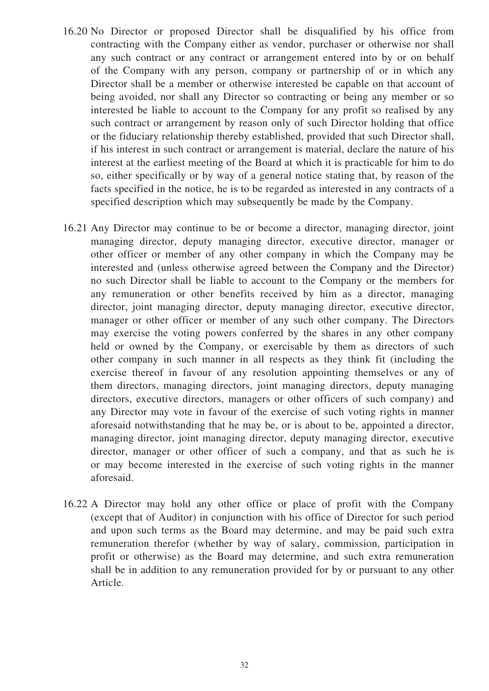- 16.20 No Director or proposed Director shall be disqualified by his office from contracting with the Company either as vendor, purchaser or otherwise nor shall any such contract or any contract or arrangement entered into by or on behalf of the Company with any person, company or partnership of or in which any Director shall be a member or otherwise interested be capable on that account of being avoided, nor shall any Director so contracting or being any member or so interested be liable to account to the Company for any profit so realised by any such contract or arrangement by reason only of such Director holding that office or the fiduciary relationship thereby established, provided that such Director shall, if his interest in such contract or arrangement is material, declare the nature of his interest at the earliest meeting of the Board at which it is practicable for him to do so, either specifically or by way of a general notice stating that, by reason of the facts specified in the notice, he is to be regarded as interested in any contracts of a specified description which may subsequently be made by the Company.
- 16.21 Any Director may continue to be or become a director, managing director, joint managing director, deputy managing director, executive director, manager or other officer or member of any other company in which the Company may be interested and (unless otherwise agreed between the Company and the Director) no such Director shall be liable to account to the Company or the members for any remuneration or other benefits received by him as a director, managing director, joint managing director, deputy managing director, executive director, manager or other officer or member of any such other company. The Directors may exercise the voting powers conferred by the shares in any other company held or owned by the Company, or exercisable by them as directors of such other company in such manner in all respects as they think fit (including the exercise thereof in favour of any resolution appointing themselves or any of them directors, managing directors, joint managing directors, deputy managing directors, executive directors, managers or other officers of such company) and any Director may vote in favour of the exercise of such voting rights in manner aforesaid notwithstanding that he may be, or is about to be, appointed a director, managing director, joint managing director, deputy managing director, executive director, manager or other officer of such a company, and that as such he is or may become interested in the exercise of such voting rights in the manner aforesaid.
- 16.22 A Director may hold any other office or place of profit with the Company (except that of Auditor) in conjunction with his office of Director for such period and upon such terms as the Board may determine, and may be paid such extra remuneration therefor (whether by way of salary, commission, participation in profit or otherwise) as the Board may determine, and such extra remuneration shall be in addition to any remuneration provided for by or pursuant to any other Article.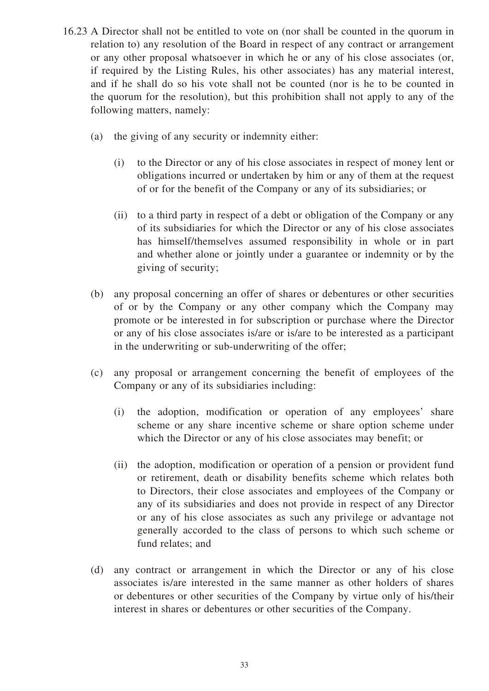- 16.23 A Director shall not be entitled to vote on (nor shall be counted in the quorum in relation to) any resolution of the Board in respect of any contract or arrangement or any other proposal whatsoever in which he or any of his close associates (or, if required by the Listing Rules, his other associates) has any material interest, and if he shall do so his vote shall not be counted (nor is he to be counted in the quorum for the resolution), but this prohibition shall not apply to any of the following matters, namely:
	- (a) the giving of any security or indemnity either:
		- (i) to the Director or any of his close associates in respect of money lent or obligations incurred or undertaken by him or any of them at the request of or for the benefit of the Company or any of its subsidiaries; or
		- (ii) to a third party in respect of a debt or obligation of the Company or any of its subsidiaries for which the Director or any of his close associates has himself/themselves assumed responsibility in whole or in part and whether alone or jointly under a guarantee or indemnity or by the giving of security;
	- (b) any proposal concerning an offer of shares or debentures or other securities of or by the Company or any other company which the Company may promote or be interested in for subscription or purchase where the Director or any of his close associates is/are or is/are to be interested as a participant in the underwriting or sub-underwriting of the offer;
	- (c) any proposal or arrangement concerning the benefit of employees of the Company or any of its subsidiaries including:
		- (i) the adoption, modification or operation of any employees' share scheme or any share incentive scheme or share option scheme under which the Director or any of his close associates may benefit; or
		- (ii) the adoption, modification or operation of a pension or provident fund or retirement, death or disability benefits scheme which relates both to Directors, their close associates and employees of the Company or any of its subsidiaries and does not provide in respect of any Director or any of his close associates as such any privilege or advantage not generally accorded to the class of persons to which such scheme or fund relates; and
	- (d) any contract or arrangement in which the Director or any of his close associates is/are interested in the same manner as other holders of shares or debentures or other securities of the Company by virtue only of his/their interest in shares or debentures or other securities of the Company.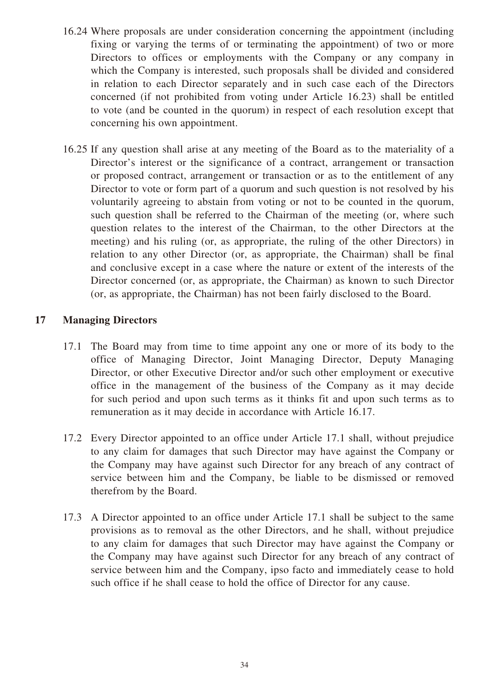- 16.24 Where proposals are under consideration concerning the appointment (including fixing or varying the terms of or terminating the appointment) of two or more Directors to offices or employments with the Company or any company in which the Company is interested, such proposals shall be divided and considered in relation to each Director separately and in such case each of the Directors concerned (if not prohibited from voting under Article 16.23) shall be entitled to vote (and be counted in the quorum) in respect of each resolution except that concerning his own appointment.
- 16.25 If any question shall arise at any meeting of the Board as to the materiality of a Director's interest or the significance of a contract, arrangement or transaction or proposed contract, arrangement or transaction or as to the entitlement of any Director to vote or form part of a quorum and such question is not resolved by his voluntarily agreeing to abstain from voting or not to be counted in the quorum, such question shall be referred to the Chairman of the meeting (or, where such question relates to the interest of the Chairman, to the other Directors at the meeting) and his ruling (or, as appropriate, the ruling of the other Directors) in relation to any other Director (or, as appropriate, the Chairman) shall be final and conclusive except in a case where the nature or extent of the interests of the Director concerned (or, as appropriate, the Chairman) as known to such Director (or, as appropriate, the Chairman) has not been fairly disclosed to the Board.

# **17 Managing Directors**

- 17.1 The Board may from time to time appoint any one or more of its body to the office of Managing Director, Joint Managing Director, Deputy Managing Director, or other Executive Director and/or such other employment or executive office in the management of the business of the Company as it may decide for such period and upon such terms as it thinks fit and upon such terms as to remuneration as it may decide in accordance with Article 16.17.
- 17.2 Every Director appointed to an office under Article 17.1 shall, without prejudice to any claim for damages that such Director may have against the Company or the Company may have against such Director for any breach of any contract of service between him and the Company, be liable to be dismissed or removed therefrom by the Board.
- 17.3 A Director appointed to an office under Article 17.1 shall be subject to the same provisions as to removal as the other Directors, and he shall, without prejudice to any claim for damages that such Director may have against the Company or the Company may have against such Director for any breach of any contract of service between him and the Company, ipso facto and immediately cease to hold such office if he shall cease to hold the office of Director for any cause.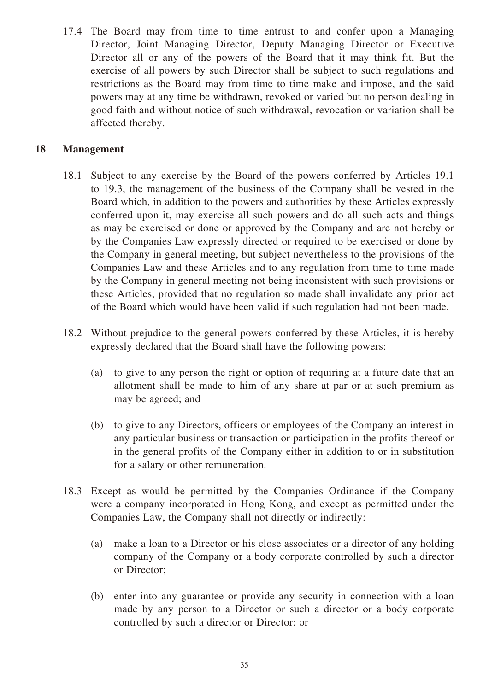17.4 The Board may from time to time entrust to and confer upon a Managing Director, Joint Managing Director, Deputy Managing Director or Executive Director all or any of the powers of the Board that it may think fit. But the exercise of all powers by such Director shall be subject to such regulations and restrictions as the Board may from time to time make and impose, and the said powers may at any time be withdrawn, revoked or varied but no person dealing in good faith and without notice of such withdrawal, revocation or variation shall be affected thereby.

# **18 Management**

- 18.1 Subject to any exercise by the Board of the powers conferred by Articles 19.1 to 19.3, the management of the business of the Company shall be vested in the Board which, in addition to the powers and authorities by these Articles expressly conferred upon it, may exercise all such powers and do all such acts and things as may be exercised or done or approved by the Company and are not hereby or by the Companies Law expressly directed or required to be exercised or done by the Company in general meeting, but subject nevertheless to the provisions of the Companies Law and these Articles and to any regulation from time to time made by the Company in general meeting not being inconsistent with such provisions or these Articles, provided that no regulation so made shall invalidate any prior act of the Board which would have been valid if such regulation had not been made.
- 18.2 Without prejudice to the general powers conferred by these Articles, it is hereby expressly declared that the Board shall have the following powers:
	- (a) to give to any person the right or option of requiring at a future date that an allotment shall be made to him of any share at par or at such premium as may be agreed; and
	- (b) to give to any Directors, officers or employees of the Company an interest in any particular business or transaction or participation in the profits thereof or in the general profits of the Company either in addition to or in substitution for a salary or other remuneration.
- 18.3 Except as would be permitted by the Companies Ordinance if the Company were a company incorporated in Hong Kong, and except as permitted under the Companies Law, the Company shall not directly or indirectly:
	- (a) make a loan to a Director or his close associates or a director of any holding company of the Company or a body corporate controlled by such a director or Director;
	- (b) enter into any guarantee or provide any security in connection with a loan made by any person to a Director or such a director or a body corporate controlled by such a director or Director; or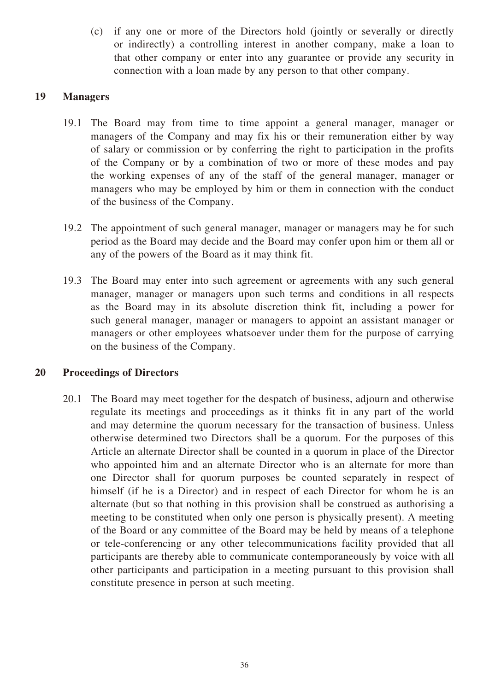(c) if any one or more of the Directors hold (jointly or severally or directly or indirectly) a controlling interest in another company, make a loan to that other company or enter into any guarantee or provide any security in connection with a loan made by any person to that other company.

# **19 Managers**

- 19.1 The Board may from time to time appoint a general manager, manager or managers of the Company and may fix his or their remuneration either by way of salary or commission or by conferring the right to participation in the profits of the Company or by a combination of two or more of these modes and pay the working expenses of any of the staff of the general manager, manager or managers who may be employed by him or them in connection with the conduct of the business of the Company.
- 19.2 The appointment of such general manager, manager or managers may be for such period as the Board may decide and the Board may confer upon him or them all or any of the powers of the Board as it may think fit.
- 19.3 The Board may enter into such agreement or agreements with any such general manager, manager or managers upon such terms and conditions in all respects as the Board may in its absolute discretion think fit, including a power for such general manager, manager or managers to appoint an assistant manager or managers or other employees whatsoever under them for the purpose of carrying on the business of the Company.

# **20 Proceedings of Directors**

20.1 The Board may meet together for the despatch of business, adjourn and otherwise regulate its meetings and proceedings as it thinks fit in any part of the world and may determine the quorum necessary for the transaction of business. Unless otherwise determined two Directors shall be a quorum. For the purposes of this Article an alternate Director shall be counted in a quorum in place of the Director who appointed him and an alternate Director who is an alternate for more than one Director shall for quorum purposes be counted separately in respect of himself (if he is a Director) and in respect of each Director for whom he is an alternate (but so that nothing in this provision shall be construed as authorising a meeting to be constituted when only one person is physically present). A meeting of the Board or any committee of the Board may be held by means of a telephone or tele-conferencing or any other telecommunications facility provided that all participants are thereby able to communicate contemporaneously by voice with all other participants and participation in a meeting pursuant to this provision shall constitute presence in person at such meeting.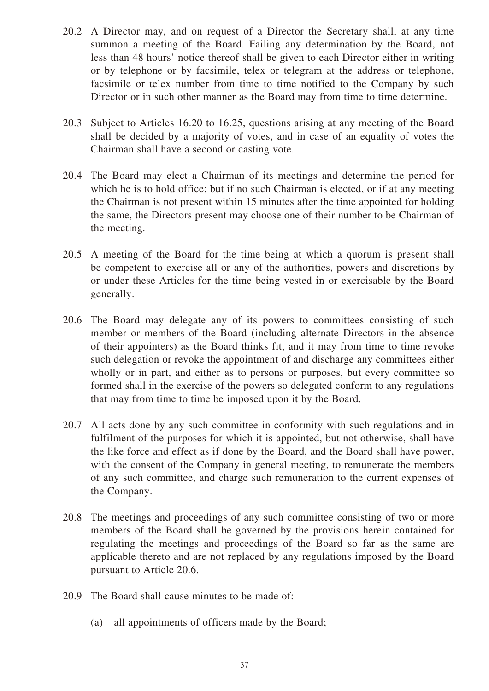- 20.2 A Director may, and on request of a Director the Secretary shall, at any time summon a meeting of the Board. Failing any determination by the Board, not less than 48 hours' notice thereof shall be given to each Director either in writing or by telephone or by facsimile, telex or telegram at the address or telephone, facsimile or telex number from time to time notified to the Company by such Director or in such other manner as the Board may from time to time determine.
- 20.3 Subject to Articles 16.20 to 16.25, questions arising at any meeting of the Board shall be decided by a majority of votes, and in case of an equality of votes the Chairman shall have a second or casting vote.
- 20.4 The Board may elect a Chairman of its meetings and determine the period for which he is to hold office; but if no such Chairman is elected, or if at any meeting the Chairman is not present within 15 minutes after the time appointed for holding the same, the Directors present may choose one of their number to be Chairman of the meeting.
- 20.5 A meeting of the Board for the time being at which a quorum is present shall be competent to exercise all or any of the authorities, powers and discretions by or under these Articles for the time being vested in or exercisable by the Board generally.
- 20.6 The Board may delegate any of its powers to committees consisting of such member or members of the Board (including alternate Directors in the absence of their appointers) as the Board thinks fit, and it may from time to time revoke such delegation or revoke the appointment of and discharge any committees either wholly or in part, and either as to persons or purposes, but every committee so formed shall in the exercise of the powers so delegated conform to any regulations that may from time to time be imposed upon it by the Board.
- 20.7 All acts done by any such committee in conformity with such regulations and in fulfilment of the purposes for which it is appointed, but not otherwise, shall have the like force and effect as if done by the Board, and the Board shall have power, with the consent of the Company in general meeting, to remunerate the members of any such committee, and charge such remuneration to the current expenses of the Company.
- 20.8 The meetings and proceedings of any such committee consisting of two or more members of the Board shall be governed by the provisions herein contained for regulating the meetings and proceedings of the Board so far as the same are applicable thereto and are not replaced by any regulations imposed by the Board pursuant to Article 20.6.
- 20.9 The Board shall cause minutes to be made of:
	- (a) all appointments of officers made by the Board;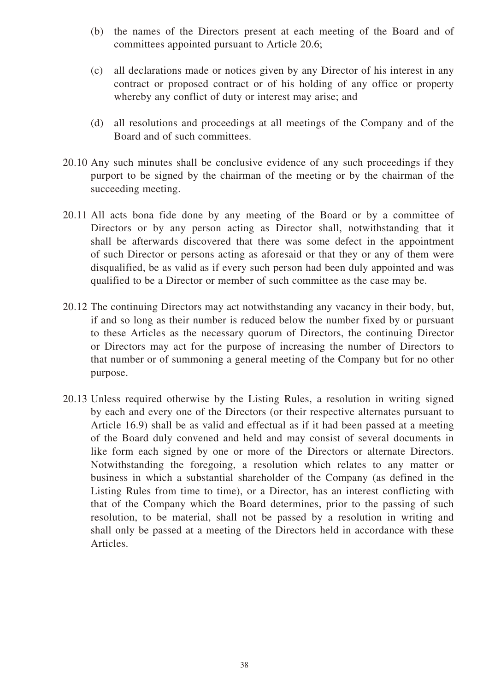- (b) the names of the Directors present at each meeting of the Board and of committees appointed pursuant to Article 20.6;
- (c) all declarations made or notices given by any Director of his interest in any contract or proposed contract or of his holding of any office or property whereby any conflict of duty or interest may arise; and
- (d) all resolutions and proceedings at all meetings of the Company and of the Board and of such committees.
- 20.10 Any such minutes shall be conclusive evidence of any such proceedings if they purport to be signed by the chairman of the meeting or by the chairman of the succeeding meeting.
- 20.11 All acts bona fide done by any meeting of the Board or by a committee of Directors or by any person acting as Director shall, notwithstanding that it shall be afterwards discovered that there was some defect in the appointment of such Director or persons acting as aforesaid or that they or any of them were disqualified, be as valid as if every such person had been duly appointed and was qualified to be a Director or member of such committee as the case may be.
- 20.12 The continuing Directors may act notwithstanding any vacancy in their body, but, if and so long as their number is reduced below the number fixed by or pursuant to these Articles as the necessary quorum of Directors, the continuing Director or Directors may act for the purpose of increasing the number of Directors to that number or of summoning a general meeting of the Company but for no other purpose.
- 20.13 Unless required otherwise by the Listing Rules, a resolution in writing signed by each and every one of the Directors (or their respective alternates pursuant to Article 16.9) shall be as valid and effectual as if it had been passed at a meeting of the Board duly convened and held and may consist of several documents in like form each signed by one or more of the Directors or alternate Directors. Notwithstanding the foregoing, a resolution which relates to any matter or business in which a substantial shareholder of the Company (as defined in the Listing Rules from time to time), or a Director, has an interest conflicting with that of the Company which the Board determines, prior to the passing of such resolution, to be material, shall not be passed by a resolution in writing and shall only be passed at a meeting of the Directors held in accordance with these Articles.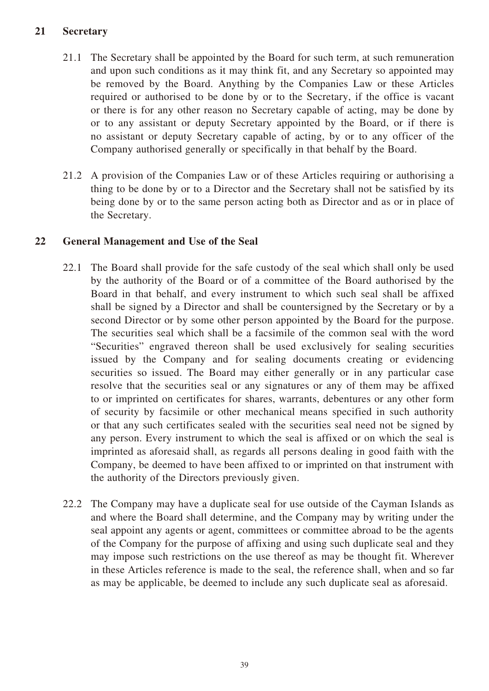# **21 Secretary**

- 21.1 The Secretary shall be appointed by the Board for such term, at such remuneration and upon such conditions as it may think fit, and any Secretary so appointed may be removed by the Board. Anything by the Companies Law or these Articles required or authorised to be done by or to the Secretary, if the office is vacant or there is for any other reason no Secretary capable of acting, may be done by or to any assistant or deputy Secretary appointed by the Board, or if there is no assistant or deputy Secretary capable of acting, by or to any officer of the Company authorised generally or specifically in that behalf by the Board.
- 21.2 A provision of the Companies Law or of these Articles requiring or authorising a thing to be done by or to a Director and the Secretary shall not be satisfied by its being done by or to the same person acting both as Director and as or in place of the Secretary.

# **22 General Management and Use of the Seal**

- 22.1 The Board shall provide for the safe custody of the seal which shall only be used by the authority of the Board or of a committee of the Board authorised by the Board in that behalf, and every instrument to which such seal shall be affixed shall be signed by a Director and shall be countersigned by the Secretary or by a second Director or by some other person appointed by the Board for the purpose. The securities seal which shall be a facsimile of the common seal with the word "Securities" engraved thereon shall be used exclusively for sealing securities issued by the Company and for sealing documents creating or evidencing securities so issued. The Board may either generally or in any particular case resolve that the securities seal or any signatures or any of them may be affixed to or imprinted on certificates for shares, warrants, debentures or any other form of security by facsimile or other mechanical means specified in such authority or that any such certificates sealed with the securities seal need not be signed by any person. Every instrument to which the seal is affixed or on which the seal is imprinted as aforesaid shall, as regards all persons dealing in good faith with the Company, be deemed to have been affixed to or imprinted on that instrument with the authority of the Directors previously given.
- 22.2 The Company may have a duplicate seal for use outside of the Cayman Islands as and where the Board shall determine, and the Company may by writing under the seal appoint any agents or agent, committees or committee abroad to be the agents of the Company for the purpose of affixing and using such duplicate seal and they may impose such restrictions on the use thereof as may be thought fit. Wherever in these Articles reference is made to the seal, the reference shall, when and so far as may be applicable, be deemed to include any such duplicate seal as aforesaid.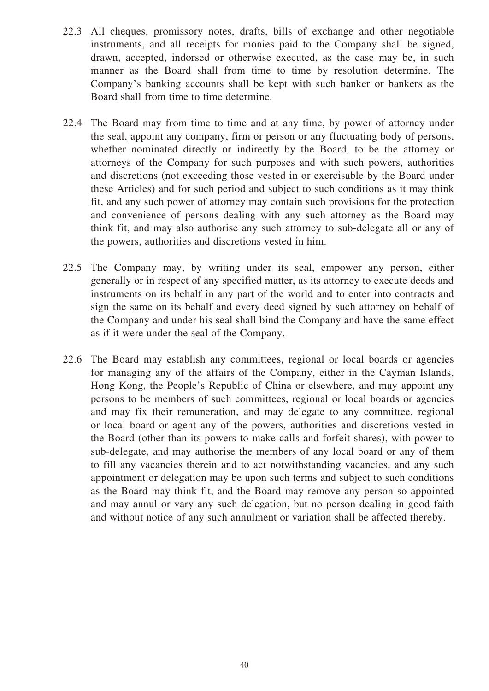- 22.3 All cheques, promissory notes, drafts, bills of exchange and other negotiable instruments, and all receipts for monies paid to the Company shall be signed, drawn, accepted, indorsed or otherwise executed, as the case may be, in such manner as the Board shall from time to time by resolution determine. The Company's banking accounts shall be kept with such banker or bankers as the Board shall from time to time determine.
- 22.4 The Board may from time to time and at any time, by power of attorney under the seal, appoint any company, firm or person or any fluctuating body of persons, whether nominated directly or indirectly by the Board, to be the attorney or attorneys of the Company for such purposes and with such powers, authorities and discretions (not exceeding those vested in or exercisable by the Board under these Articles) and for such period and subject to such conditions as it may think fit, and any such power of attorney may contain such provisions for the protection and convenience of persons dealing with any such attorney as the Board may think fit, and may also authorise any such attorney to sub-delegate all or any of the powers, authorities and discretions vested in him.
- 22.5 The Company may, by writing under its seal, empower any person, either generally or in respect of any specified matter, as its attorney to execute deeds and instruments on its behalf in any part of the world and to enter into contracts and sign the same on its behalf and every deed signed by such attorney on behalf of the Company and under his seal shall bind the Company and have the same effect as if it were under the seal of the Company.
- 22.6 The Board may establish any committees, regional or local boards or agencies for managing any of the affairs of the Company, either in the Cayman Islands, Hong Kong, the People's Republic of China or elsewhere, and may appoint any persons to be members of such committees, regional or local boards or agencies and may fix their remuneration, and may delegate to any committee, regional or local board or agent any of the powers, authorities and discretions vested in the Board (other than its powers to make calls and forfeit shares), with power to sub-delegate, and may authorise the members of any local board or any of them to fill any vacancies therein and to act notwithstanding vacancies, and any such appointment or delegation may be upon such terms and subject to such conditions as the Board may think fit, and the Board may remove any person so appointed and may annul or vary any such delegation, but no person dealing in good faith and without notice of any such annulment or variation shall be affected thereby.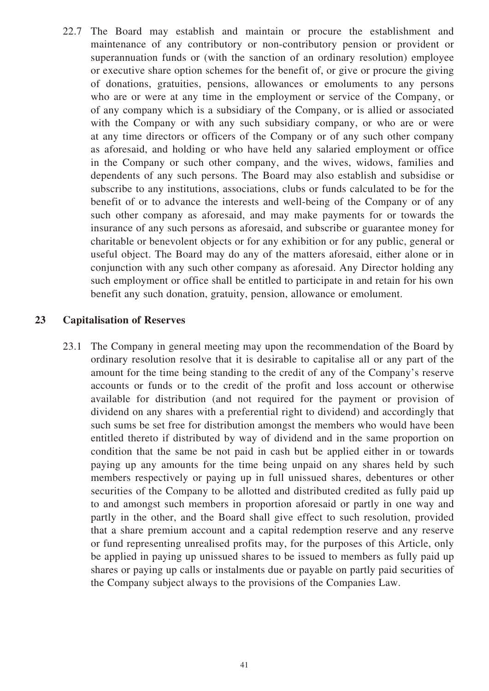22.7 The Board may establish and maintain or procure the establishment and maintenance of any contributory or non-contributory pension or provident or superannuation funds or (with the sanction of an ordinary resolution) employee or executive share option schemes for the benefit of, or give or procure the giving of donations, gratuities, pensions, allowances or emoluments to any persons who are or were at any time in the employment or service of the Company, or of any company which is a subsidiary of the Company, or is allied or associated with the Company or with any such subsidiary company, or who are or were at any time directors or officers of the Company or of any such other company as aforesaid, and holding or who have held any salaried employment or office in the Company or such other company, and the wives, widows, families and dependents of any such persons. The Board may also establish and subsidise or subscribe to any institutions, associations, clubs or funds calculated to be for the benefit of or to advance the interests and well-being of the Company or of any such other company as aforesaid, and may make payments for or towards the insurance of any such persons as aforesaid, and subscribe or guarantee money for charitable or benevolent objects or for any exhibition or for any public, general or useful object. The Board may do any of the matters aforesaid, either alone or in conjunction with any such other company as aforesaid. Any Director holding any such employment or office shall be entitled to participate in and retain for his own benefit any such donation, gratuity, pension, allowance or emolument.

# **23 Capitalisation of Reserves**

23.1 The Company in general meeting may upon the recommendation of the Board by ordinary resolution resolve that it is desirable to capitalise all or any part of the amount for the time being standing to the credit of any of the Company's reserve accounts or funds or to the credit of the profit and loss account or otherwise available for distribution (and not required for the payment or provision of dividend on any shares with a preferential right to dividend) and accordingly that such sums be set free for distribution amongst the members who would have been entitled thereto if distributed by way of dividend and in the same proportion on condition that the same be not paid in cash but be applied either in or towards paying up any amounts for the time being unpaid on any shares held by such members respectively or paying up in full unissued shares, debentures or other securities of the Company to be allotted and distributed credited as fully paid up to and amongst such members in proportion aforesaid or partly in one way and partly in the other, and the Board shall give effect to such resolution, provided that a share premium account and a capital redemption reserve and any reserve or fund representing unrealised profits may, for the purposes of this Article, only be applied in paying up unissued shares to be issued to members as fully paid up shares or paying up calls or instalments due or payable on partly paid securities of the Company subject always to the provisions of the Companies Law.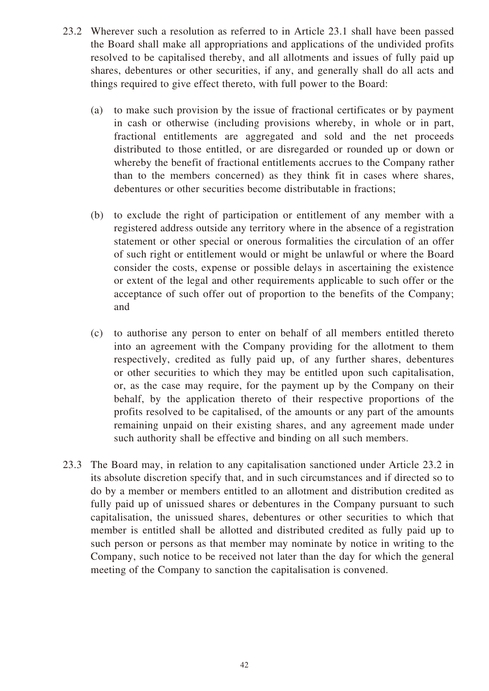- 23.2 Wherever such a resolution as referred to in Article 23.1 shall have been passed the Board shall make all appropriations and applications of the undivided profits resolved to be capitalised thereby, and all allotments and issues of fully paid up shares, debentures or other securities, if any, and generally shall do all acts and things required to give effect thereto, with full power to the Board:
	- (a) to make such provision by the issue of fractional certificates or by payment in cash or otherwise (including provisions whereby, in whole or in part, fractional entitlements are aggregated and sold and the net proceeds distributed to those entitled, or are disregarded or rounded up or down or whereby the benefit of fractional entitlements accrues to the Company rather than to the members concerned) as they think fit in cases where shares, debentures or other securities become distributable in fractions;
	- (b) to exclude the right of participation or entitlement of any member with a registered address outside any territory where in the absence of a registration statement or other special or onerous formalities the circulation of an offer of such right or entitlement would or might be unlawful or where the Board consider the costs, expense or possible delays in ascertaining the existence or extent of the legal and other requirements applicable to such offer or the acceptance of such offer out of proportion to the benefits of the Company; and
	- (c) to authorise any person to enter on behalf of all members entitled thereto into an agreement with the Company providing for the allotment to them respectively, credited as fully paid up, of any further shares, debentures or other securities to which they may be entitled upon such capitalisation, or, as the case may require, for the payment up by the Company on their behalf, by the application thereto of their respective proportions of the profits resolved to be capitalised, of the amounts or any part of the amounts remaining unpaid on their existing shares, and any agreement made under such authority shall be effective and binding on all such members.
- 23.3 The Board may, in relation to any capitalisation sanctioned under Article 23.2 in its absolute discretion specify that, and in such circumstances and if directed so to do by a member or members entitled to an allotment and distribution credited as fully paid up of unissued shares or debentures in the Company pursuant to such capitalisation, the unissued shares, debentures or other securities to which that member is entitled shall be allotted and distributed credited as fully paid up to such person or persons as that member may nominate by notice in writing to the Company, such notice to be received not later than the day for which the general meeting of the Company to sanction the capitalisation is convened.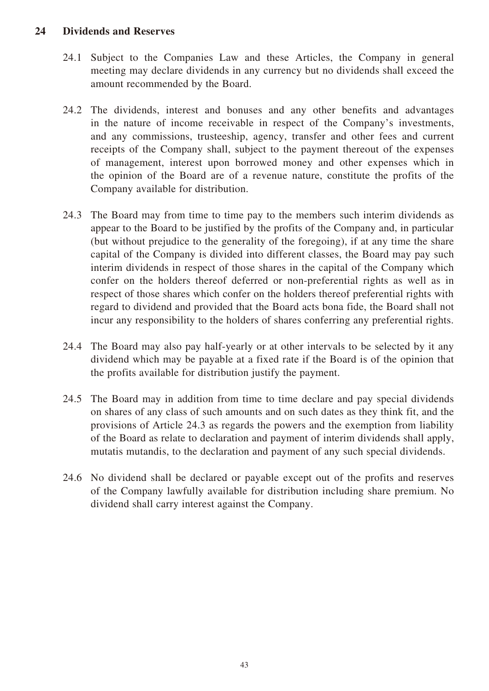# **24 Dividends and Reserves**

- 24.1 Subject to the Companies Law and these Articles, the Company in general meeting may declare dividends in any currency but no dividends shall exceed the amount recommended by the Board.
- 24.2 The dividends, interest and bonuses and any other benefits and advantages in the nature of income receivable in respect of the Company's investments, and any commissions, trusteeship, agency, transfer and other fees and current receipts of the Company shall, subject to the payment thereout of the expenses of management, interest upon borrowed money and other expenses which in the opinion of the Board are of a revenue nature, constitute the profits of the Company available for distribution.
- 24.3 The Board may from time to time pay to the members such interim dividends as appear to the Board to be justified by the profits of the Company and, in particular (but without prejudice to the generality of the foregoing), if at any time the share capital of the Company is divided into different classes, the Board may pay such interim dividends in respect of those shares in the capital of the Company which confer on the holders thereof deferred or non-preferential rights as well as in respect of those shares which confer on the holders thereof preferential rights with regard to dividend and provided that the Board acts bona fide, the Board shall not incur any responsibility to the holders of shares conferring any preferential rights.
- 24.4 The Board may also pay half-yearly or at other intervals to be selected by it any dividend which may be payable at a fixed rate if the Board is of the opinion that the profits available for distribution justify the payment.
- 24.5 The Board may in addition from time to time declare and pay special dividends on shares of any class of such amounts and on such dates as they think fit, and the provisions of Article 24.3 as regards the powers and the exemption from liability of the Board as relate to declaration and payment of interim dividends shall apply, mutatis mutandis, to the declaration and payment of any such special dividends.
- 24.6 No dividend shall be declared or payable except out of the profits and reserves of the Company lawfully available for distribution including share premium. No dividend shall carry interest against the Company.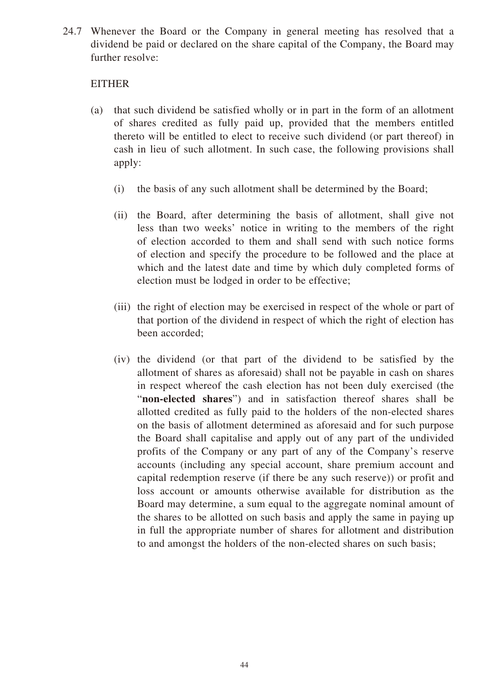24.7 Whenever the Board or the Company in general meeting has resolved that a dividend be paid or declared on the share capital of the Company, the Board may further resolve:

# EITHER

- (a) that such dividend be satisfied wholly or in part in the form of an allotment of shares credited as fully paid up, provided that the members entitled thereto will be entitled to elect to receive such dividend (or part thereof) in cash in lieu of such allotment. In such case, the following provisions shall apply:
	- (i) the basis of any such allotment shall be determined by the Board;
	- (ii) the Board, after determining the basis of allotment, shall give not less than two weeks' notice in writing to the members of the right of election accorded to them and shall send with such notice forms of election and specify the procedure to be followed and the place at which and the latest date and time by which duly completed forms of election must be lodged in order to be effective;
	- (iii) the right of election may be exercised in respect of the whole or part of that portion of the dividend in respect of which the right of election has been accorded;
	- (iv) the dividend (or that part of the dividend to be satisfied by the allotment of shares as aforesaid) shall not be payable in cash on shares in respect whereof the cash election has not been duly exercised (the "**non-elected shares**") and in satisfaction thereof shares shall be allotted credited as fully paid to the holders of the non-elected shares on the basis of allotment determined as aforesaid and for such purpose the Board shall capitalise and apply out of any part of the undivided profits of the Company or any part of any of the Company's reserve accounts (including any special account, share premium account and capital redemption reserve (if there be any such reserve)) or profit and loss account or amounts otherwise available for distribution as the Board may determine, a sum equal to the aggregate nominal amount of the shares to be allotted on such basis and apply the same in paying up in full the appropriate number of shares for allotment and distribution to and amongst the holders of the non-elected shares on such basis;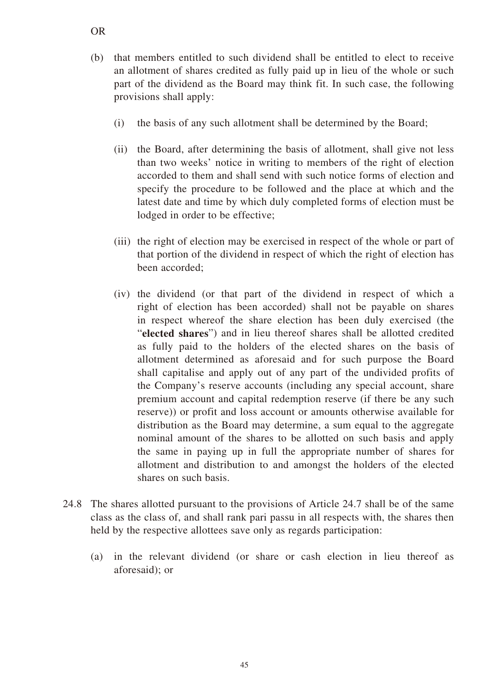- (b) that members entitled to such dividend shall be entitled to elect to receive an allotment of shares credited as fully paid up in lieu of the whole or such part of the dividend as the Board may think fit. In such case, the following provisions shall apply:
	- (i) the basis of any such allotment shall be determined by the Board;
	- (ii) the Board, after determining the basis of allotment, shall give not less than two weeks' notice in writing to members of the right of election accorded to them and shall send with such notice forms of election and specify the procedure to be followed and the place at which and the latest date and time by which duly completed forms of election must be lodged in order to be effective;
	- (iii) the right of election may be exercised in respect of the whole or part of that portion of the dividend in respect of which the right of election has been accorded;
	- (iv) the dividend (or that part of the dividend in respect of which a right of election has been accorded) shall not be payable on shares in respect whereof the share election has been duly exercised (the "**elected shares**") and in lieu thereof shares shall be allotted credited as fully paid to the holders of the elected shares on the basis of allotment determined as aforesaid and for such purpose the Board shall capitalise and apply out of any part of the undivided profits of the Company's reserve accounts (including any special account, share premium account and capital redemption reserve (if there be any such reserve)) or profit and loss account or amounts otherwise available for distribution as the Board may determine, a sum equal to the aggregate nominal amount of the shares to be allotted on such basis and apply the same in paying up in full the appropriate number of shares for allotment and distribution to and amongst the holders of the elected shares on such basis.
- 24.8 The shares allotted pursuant to the provisions of Article 24.7 shall be of the same class as the class of, and shall rank pari passu in all respects with, the shares then held by the respective allottees save only as regards participation:
	- (a) in the relevant dividend (or share or cash election in lieu thereof as aforesaid); or

OR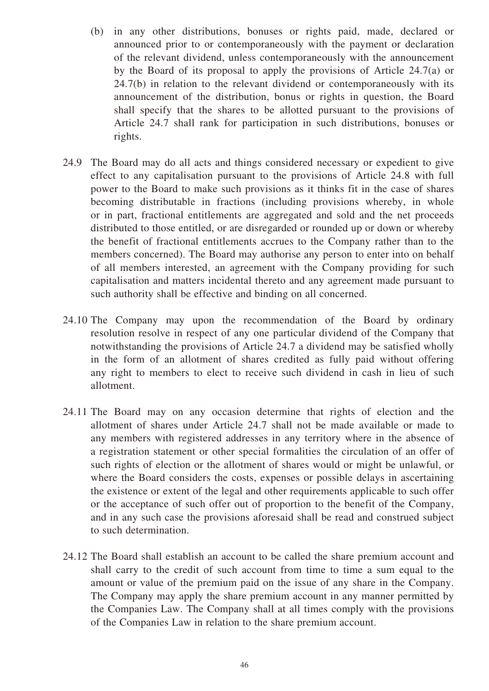- (b) in any other distributions, bonuses or rights paid, made, declared or announced prior to or contemporaneously with the payment or declaration of the relevant dividend, unless contemporaneously with the announcement by the Board of its proposal to apply the provisions of Article 24.7(a) or 24.7(b) in relation to the relevant dividend or contemporaneously with its announcement of the distribution, bonus or rights in question, the Board shall specify that the shares to be allotted pursuant to the provisions of Article 24.7 shall rank for participation in such distributions, bonuses or rights.
- 24.9 The Board may do all acts and things considered necessary or expedient to give effect to any capitalisation pursuant to the provisions of Article 24.8 with full power to the Board to make such provisions as it thinks fit in the case of shares becoming distributable in fractions (including provisions whereby, in whole or in part, fractional entitlements are aggregated and sold and the net proceeds distributed to those entitled, or are disregarded or rounded up or down or whereby the benefit of fractional entitlements accrues to the Company rather than to the members concerned). The Board may authorise any person to enter into on behalf of all members interested, an agreement with the Company providing for such capitalisation and matters incidental thereto and any agreement made pursuant to such authority shall be effective and binding on all concerned.
- 24.10 The Company may upon the recommendation of the Board by ordinary resolution resolve in respect of any one particular dividend of the Company that notwithstanding the provisions of Article 24.7 a dividend may be satisfied wholly in the form of an allotment of shares credited as fully paid without offering any right to members to elect to receive such dividend in cash in lieu of such allotment.
- 24.11 The Board may on any occasion determine that rights of election and the allotment of shares under Article 24.7 shall not be made available or made to any members with registered addresses in any territory where in the absence of a registration statement or other special formalities the circulation of an offer of such rights of election or the allotment of shares would or might be unlawful, or where the Board considers the costs, expenses or possible delays in ascertaining the existence or extent of the legal and other requirements applicable to such offer or the acceptance of such offer out of proportion to the benefit of the Company, and in any such case the provisions aforesaid shall be read and construed subject to such determination.
- 24.12 The Board shall establish an account to be called the share premium account and shall carry to the credit of such account from time to time a sum equal to the amount or value of the premium paid on the issue of any share in the Company. The Company may apply the share premium account in any manner permitted by the Companies Law. The Company shall at all times comply with the provisions of the Companies Law in relation to the share premium account.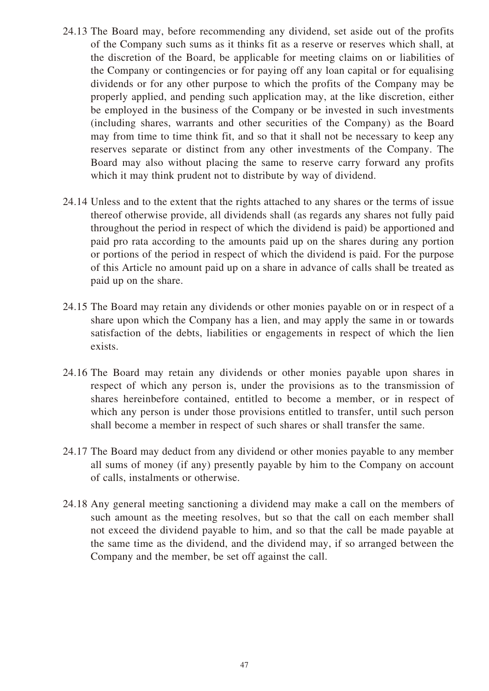- 24.13 The Board may, before recommending any dividend, set aside out of the profits of the Company such sums as it thinks fit as a reserve or reserves which shall, at the discretion of the Board, be applicable for meeting claims on or liabilities of the Company or contingencies or for paying off any loan capital or for equalising dividends or for any other purpose to which the profits of the Company may be properly applied, and pending such application may, at the like discretion, either be employed in the business of the Company or be invested in such investments (including shares, warrants and other securities of the Company) as the Board may from time to time think fit, and so that it shall not be necessary to keep any reserves separate or distinct from any other investments of the Company. The Board may also without placing the same to reserve carry forward any profits which it may think prudent not to distribute by way of dividend.
- 24.14 Unless and to the extent that the rights attached to any shares or the terms of issue thereof otherwise provide, all dividends shall (as regards any shares not fully paid throughout the period in respect of which the dividend is paid) be apportioned and paid pro rata according to the amounts paid up on the shares during any portion or portions of the period in respect of which the dividend is paid. For the purpose of this Article no amount paid up on a share in advance of calls shall be treated as paid up on the share.
- 24.15 The Board may retain any dividends or other monies payable on or in respect of a share upon which the Company has a lien, and may apply the same in or towards satisfaction of the debts, liabilities or engagements in respect of which the lien exists.
- 24.16 The Board may retain any dividends or other monies payable upon shares in respect of which any person is, under the provisions as to the transmission of shares hereinbefore contained, entitled to become a member, or in respect of which any person is under those provisions entitled to transfer, until such person shall become a member in respect of such shares or shall transfer the same.
- 24.17 The Board may deduct from any dividend or other monies payable to any member all sums of money (if any) presently payable by him to the Company on account of calls, instalments or otherwise.
- 24.18 Any general meeting sanctioning a dividend may make a call on the members of such amount as the meeting resolves, but so that the call on each member shall not exceed the dividend payable to him, and so that the call be made payable at the same time as the dividend, and the dividend may, if so arranged between the Company and the member, be set off against the call.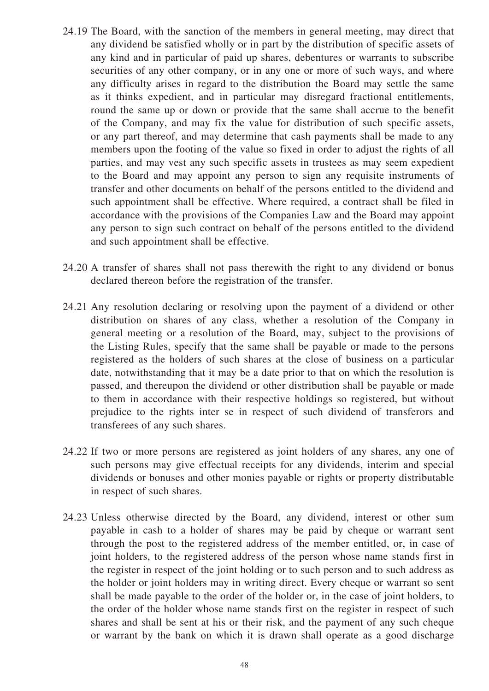- 24.19 The Board, with the sanction of the members in general meeting, may direct that any dividend be satisfied wholly or in part by the distribution of specific assets of any kind and in particular of paid up shares, debentures or warrants to subscribe securities of any other company, or in any one or more of such ways, and where any difficulty arises in regard to the distribution the Board may settle the same as it thinks expedient, and in particular may disregard fractional entitlements, round the same up or down or provide that the same shall accrue to the benefit of the Company, and may fix the value for distribution of such specific assets, or any part thereof, and may determine that cash payments shall be made to any members upon the footing of the value so fixed in order to adjust the rights of all parties, and may vest any such specific assets in trustees as may seem expedient to the Board and may appoint any person to sign any requisite instruments of transfer and other documents on behalf of the persons entitled to the dividend and such appointment shall be effective. Where required, a contract shall be filed in accordance with the provisions of the Companies Law and the Board may appoint any person to sign such contract on behalf of the persons entitled to the dividend and such appointment shall be effective.
- 24.20 A transfer of shares shall not pass therewith the right to any dividend or bonus declared thereon before the registration of the transfer.
- 24.21 Any resolution declaring or resolving upon the payment of a dividend or other distribution on shares of any class, whether a resolution of the Company in general meeting or a resolution of the Board, may, subject to the provisions of the Listing Rules, specify that the same shall be payable or made to the persons registered as the holders of such shares at the close of business on a particular date, notwithstanding that it may be a date prior to that on which the resolution is passed, and thereupon the dividend or other distribution shall be payable or made to them in accordance with their respective holdings so registered, but without prejudice to the rights inter se in respect of such dividend of transferors and transferees of any such shares.
- 24.22 If two or more persons are registered as joint holders of any shares, any one of such persons may give effectual receipts for any dividends, interim and special dividends or bonuses and other monies payable or rights or property distributable in respect of such shares.
- 24.23 Unless otherwise directed by the Board, any dividend, interest or other sum payable in cash to a holder of shares may be paid by cheque or warrant sent through the post to the registered address of the member entitled, or, in case of joint holders, to the registered address of the person whose name stands first in the register in respect of the joint holding or to such person and to such address as the holder or joint holders may in writing direct. Every cheque or warrant so sent shall be made payable to the order of the holder or, in the case of joint holders, to the order of the holder whose name stands first on the register in respect of such shares and shall be sent at his or their risk, and the payment of any such cheque or warrant by the bank on which it is drawn shall operate as a good discharge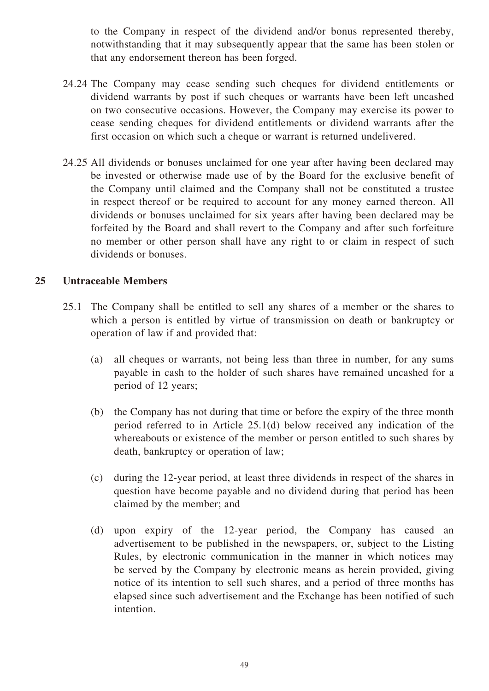to the Company in respect of the dividend and/or bonus represented thereby, notwithstanding that it may subsequently appear that the same has been stolen or that any endorsement thereon has been forged.

- 24.24 The Company may cease sending such cheques for dividend entitlements or dividend warrants by post if such cheques or warrants have been left uncashed on two consecutive occasions. However, the Company may exercise its power to cease sending cheques for dividend entitlements or dividend warrants after the first occasion on which such a cheque or warrant is returned undelivered.
- 24.25 All dividends or bonuses unclaimed for one year after having been declared may be invested or otherwise made use of by the Board for the exclusive benefit of the Company until claimed and the Company shall not be constituted a trustee in respect thereof or be required to account for any money earned thereon. All dividends or bonuses unclaimed for six years after having been declared may be forfeited by the Board and shall revert to the Company and after such forfeiture no member or other person shall have any right to or claim in respect of such dividends or bonuses.

#### **25 Untraceable Members**

- 25.1 The Company shall be entitled to sell any shares of a member or the shares to which a person is entitled by virtue of transmission on death or bankruptcy or operation of law if and provided that:
	- (a) all cheques or warrants, not being less than three in number, for any sums payable in cash to the holder of such shares have remained uncashed for a period of 12 years;
	- (b) the Company has not during that time or before the expiry of the three month period referred to in Article 25.1(d) below received any indication of the whereabouts or existence of the member or person entitled to such shares by death, bankruptcy or operation of law;
	- (c) during the 12-year period, at least three dividends in respect of the shares in question have become payable and no dividend during that period has been claimed by the member; and
	- (d) upon expiry of the 12-year period, the Company has caused an advertisement to be published in the newspapers, or, subject to the Listing Rules, by electronic communication in the manner in which notices may be served by the Company by electronic means as herein provided, giving notice of its intention to sell such shares, and a period of three months has elapsed since such advertisement and the Exchange has been notified of such intention.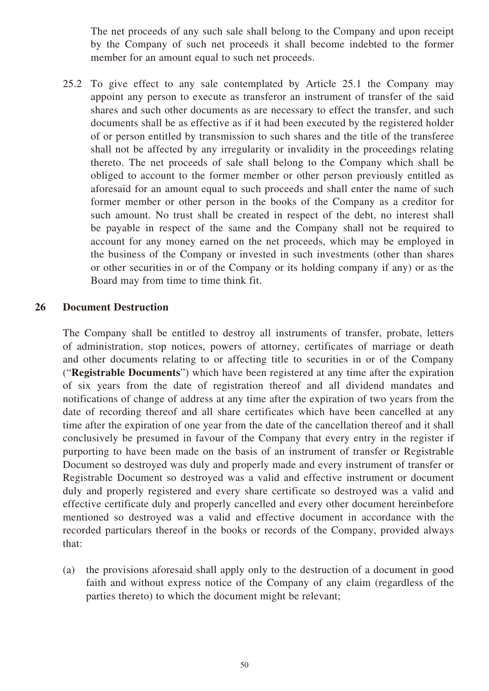The net proceeds of any such sale shall belong to the Company and upon receipt by the Company of such net proceeds it shall become indebted to the former member for an amount equal to such net proceeds.

25.2 To give effect to any sale contemplated by Article 25.1 the Company may appoint any person to execute as transferor an instrument of transfer of the said shares and such other documents as are necessary to effect the transfer, and such documents shall be as effective as if it had been executed by the registered holder of or person entitled by transmission to such shares and the title of the transferee shall not be affected by any irregularity or invalidity in the proceedings relating thereto. The net proceeds of sale shall belong to the Company which shall be obliged to account to the former member or other person previously entitled as aforesaid for an amount equal to such proceeds and shall enter the name of such former member or other person in the books of the Company as a creditor for such amount. No trust shall be created in respect of the debt, no interest shall be payable in respect of the same and the Company shall not be required to account for any money earned on the net proceeds, which may be employed in the business of the Company or invested in such investments (other than shares or other securities in or of the Company or its holding company if any) or as the Board may from time to time think fit.

#### **26 Document Destruction**

The Company shall be entitled to destroy all instruments of transfer, probate, letters of administration, stop notices, powers of attorney, certificates of marriage or death and other documents relating to or affecting title to securities in or of the Company ("**Registrable Documents**") which have been registered at any time after the expiration of six years from the date of registration thereof and all dividend mandates and notifications of change of address at any time after the expiration of two years from the date of recording thereof and all share certificates which have been cancelled at any time after the expiration of one year from the date of the cancellation thereof and it shall conclusively be presumed in favour of the Company that every entry in the register if purporting to have been made on the basis of an instrument of transfer or Registrable Document so destroyed was duly and properly made and every instrument of transfer or Registrable Document so destroyed was a valid and effective instrument or document duly and properly registered and every share certificate so destroyed was a valid and effective certificate duly and properly cancelled and every other document hereinbefore mentioned so destroyed was a valid and effective document in accordance with the recorded particulars thereof in the books or records of the Company, provided always that:

(a) the provisions aforesaid shall apply only to the destruction of a document in good faith and without express notice of the Company of any claim (regardless of the parties thereto) to which the document might be relevant;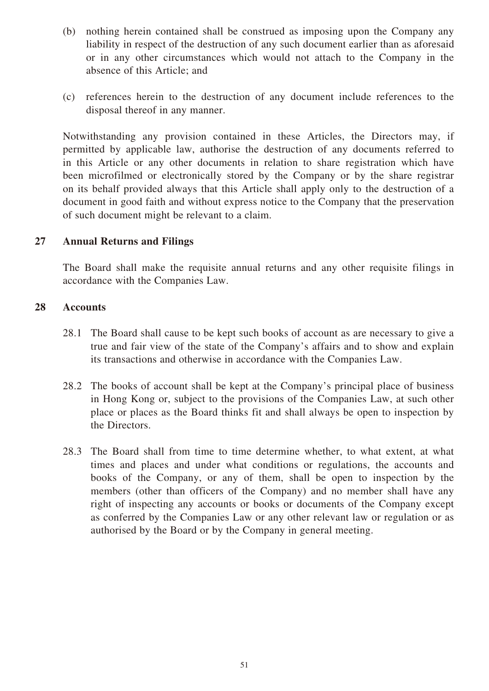- (b) nothing herein contained shall be construed as imposing upon the Company any liability in respect of the destruction of any such document earlier than as aforesaid or in any other circumstances which would not attach to the Company in the absence of this Article; and
- (c) references herein to the destruction of any document include references to the disposal thereof in any manner.

Notwithstanding any provision contained in these Articles, the Directors may, if permitted by applicable law, authorise the destruction of any documents referred to in this Article or any other documents in relation to share registration which have been microfilmed or electronically stored by the Company or by the share registrar on its behalf provided always that this Article shall apply only to the destruction of a document in good faith and without express notice to the Company that the preservation of such document might be relevant to a claim.

# **27 Annual Returns and Filings**

The Board shall make the requisite annual returns and any other requisite filings in accordance with the Companies Law.

# **28 Accounts**

- 28.1 The Board shall cause to be kept such books of account as are necessary to give a true and fair view of the state of the Company's affairs and to show and explain its transactions and otherwise in accordance with the Companies Law.
- 28.2 The books of account shall be kept at the Company's principal place of business in Hong Kong or, subject to the provisions of the Companies Law, at such other place or places as the Board thinks fit and shall always be open to inspection by the Directors.
- 28.3 The Board shall from time to time determine whether, to what extent, at what times and places and under what conditions or regulations, the accounts and books of the Company, or any of them, shall be open to inspection by the members (other than officers of the Company) and no member shall have any right of inspecting any accounts or books or documents of the Company except as conferred by the Companies Law or any other relevant law or regulation or as authorised by the Board or by the Company in general meeting.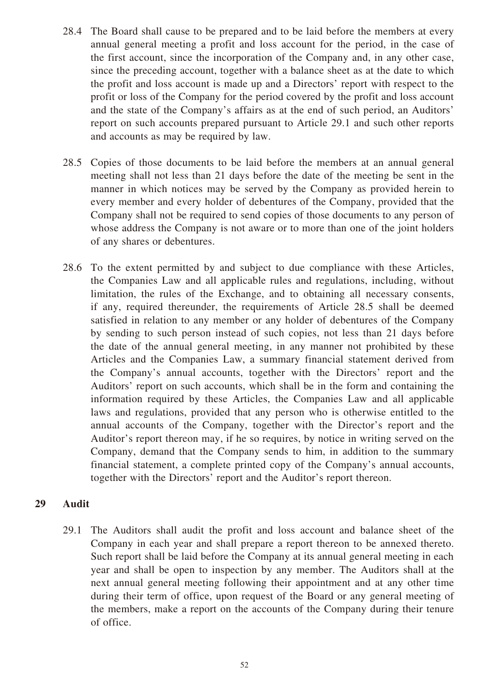- 28.4 The Board shall cause to be prepared and to be laid before the members at every annual general meeting a profit and loss account for the period, in the case of the first account, since the incorporation of the Company and, in any other case, since the preceding account, together with a balance sheet as at the date to which the profit and loss account is made up and a Directors' report with respect to the profit or loss of the Company for the period covered by the profit and loss account and the state of the Company's affairs as at the end of such period, an Auditors' report on such accounts prepared pursuant to Article 29.1 and such other reports and accounts as may be required by law.
- 28.5 Copies of those documents to be laid before the members at an annual general meeting shall not less than 21 days before the date of the meeting be sent in the manner in which notices may be served by the Company as provided herein to every member and every holder of debentures of the Company, provided that the Company shall not be required to send copies of those documents to any person of whose address the Company is not aware or to more than one of the joint holders of any shares or debentures.
- 28.6 To the extent permitted by and subject to due compliance with these Articles, the Companies Law and all applicable rules and regulations, including, without limitation, the rules of the Exchange, and to obtaining all necessary consents, if any, required thereunder, the requirements of Article 28.5 shall be deemed satisfied in relation to any member or any holder of debentures of the Company by sending to such person instead of such copies, not less than 21 days before the date of the annual general meeting, in any manner not prohibited by these Articles and the Companies Law, a summary financial statement derived from the Company's annual accounts, together with the Directors' report and the Auditors' report on such accounts, which shall be in the form and containing the information required by these Articles, the Companies Law and all applicable laws and regulations, provided that any person who is otherwise entitled to the annual accounts of the Company, together with the Director's report and the Auditor's report thereon may, if he so requires, by notice in writing served on the Company, demand that the Company sends to him, in addition to the summary financial statement, a complete printed copy of the Company's annual accounts, together with the Directors' report and the Auditor's report thereon.

# **29 Audit**

29.1 The Auditors shall audit the profit and loss account and balance sheet of the Company in each year and shall prepare a report thereon to be annexed thereto. Such report shall be laid before the Company at its annual general meeting in each year and shall be open to inspection by any member. The Auditors shall at the next annual general meeting following their appointment and at any other time during their term of office, upon request of the Board or any general meeting of the members, make a report on the accounts of the Company during their tenure of office.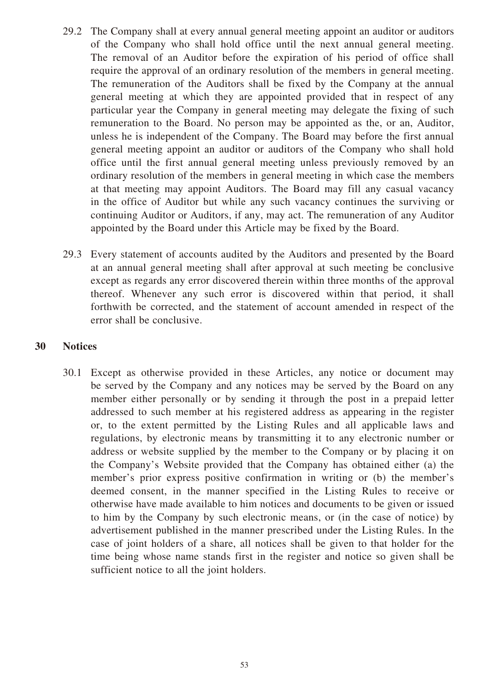- 29.2 The Company shall at every annual general meeting appoint an auditor or auditors of the Company who shall hold office until the next annual general meeting. The removal of an Auditor before the expiration of his period of office shall require the approval of an ordinary resolution of the members in general meeting. The remuneration of the Auditors shall be fixed by the Company at the annual general meeting at which they are appointed provided that in respect of any particular year the Company in general meeting may delegate the fixing of such remuneration to the Board. No person may be appointed as the, or an, Auditor, unless he is independent of the Company. The Board may before the first annual general meeting appoint an auditor or auditors of the Company who shall hold office until the first annual general meeting unless previously removed by an ordinary resolution of the members in general meeting in which case the members at that meeting may appoint Auditors. The Board may fill any casual vacancy in the office of Auditor but while any such vacancy continues the surviving or continuing Auditor or Auditors, if any, may act. The remuneration of any Auditor appointed by the Board under this Article may be fixed by the Board.
- 29.3 Every statement of accounts audited by the Auditors and presented by the Board at an annual general meeting shall after approval at such meeting be conclusive except as regards any error discovered therein within three months of the approval thereof. Whenever any such error is discovered within that period, it shall forthwith be corrected, and the statement of account amended in respect of the error shall be conclusive.

#### **30 Notices**

30.1 Except as otherwise provided in these Articles, any notice or document may be served by the Company and any notices may be served by the Board on any member either personally or by sending it through the post in a prepaid letter addressed to such member at his registered address as appearing in the register or, to the extent permitted by the Listing Rules and all applicable laws and regulations, by electronic means by transmitting it to any electronic number or address or website supplied by the member to the Company or by placing it on the Company's Website provided that the Company has obtained either (a) the member's prior express positive confirmation in writing or (b) the member's deemed consent, in the manner specified in the Listing Rules to receive or otherwise have made available to him notices and documents to be given or issued to him by the Company by such electronic means, or (in the case of notice) by advertisement published in the manner prescribed under the Listing Rules. In the case of joint holders of a share, all notices shall be given to that holder for the time being whose name stands first in the register and notice so given shall be sufficient notice to all the joint holders.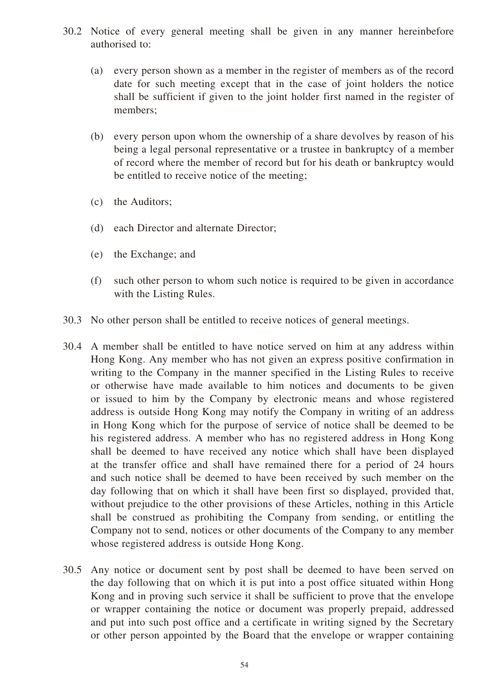- 30.2 Notice of every general meeting shall be given in any manner hereinbefore authorised to:
	- (a) every person shown as a member in the register of members as of the record date for such meeting except that in the case of joint holders the notice shall be sufficient if given to the joint holder first named in the register of members;
	- (b) every person upon whom the ownership of a share devolves by reason of his being a legal personal representative or a trustee in bankruptcy of a member of record where the member of record but for his death or bankruptcy would be entitled to receive notice of the meeting;
	- (c) the Auditors;
	- (d) each Director and alternate Director;
	- (e) the Exchange; and
	- (f) such other person to whom such notice is required to be given in accordance with the Listing Rules.
- 30.3 No other person shall be entitled to receive notices of general meetings.
- 30.4 A member shall be entitled to have notice served on him at any address within Hong Kong. Any member who has not given an express positive confirmation in writing to the Company in the manner specified in the Listing Rules to receive or otherwise have made available to him notices and documents to be given or issued to him by the Company by electronic means and whose registered address is outside Hong Kong may notify the Company in writing of an address in Hong Kong which for the purpose of service of notice shall be deemed to be his registered address. A member who has no registered address in Hong Kong shall be deemed to have received any notice which shall have been displayed at the transfer office and shall have remained there for a period of 24 hours and such notice shall be deemed to have been received by such member on the day following that on which it shall have been first so displayed, provided that, without prejudice to the other provisions of these Articles, nothing in this Article shall be construed as prohibiting the Company from sending, or entitling the Company not to send, notices or other documents of the Company to any member whose registered address is outside Hong Kong.
- 30.5 Any notice or document sent by post shall be deemed to have been served on the day following that on which it is put into a post office situated within Hong Kong and in proving such service it shall be sufficient to prove that the envelope or wrapper containing the notice or document was properly prepaid, addressed and put into such post office and a certificate in writing signed by the Secretary or other person appointed by the Board that the envelope or wrapper containing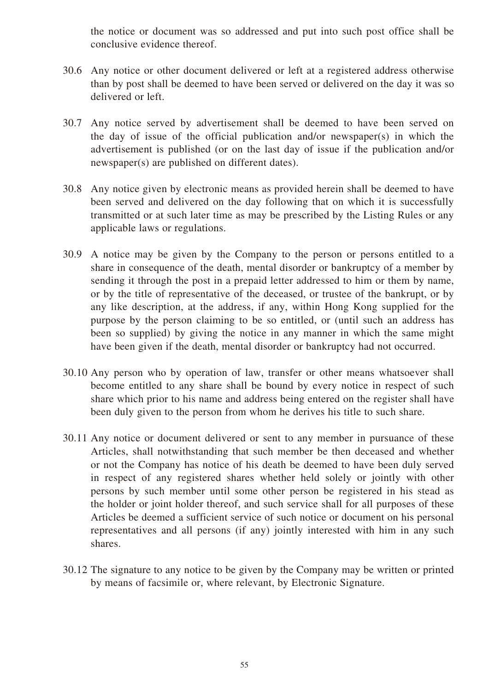the notice or document was so addressed and put into such post office shall be conclusive evidence thereof.

- 30.6 Any notice or other document delivered or left at a registered address otherwise than by post shall be deemed to have been served or delivered on the day it was so delivered or left.
- 30.7 Any notice served by advertisement shall be deemed to have been served on the day of issue of the official publication and/or newspaper(s) in which the advertisement is published (or on the last day of issue if the publication and/or newspaper(s) are published on different dates).
- 30.8 Any notice given by electronic means as provided herein shall be deemed to have been served and delivered on the day following that on which it is successfully transmitted or at such later time as may be prescribed by the Listing Rules or any applicable laws or regulations.
- 30.9 A notice may be given by the Company to the person or persons entitled to a share in consequence of the death, mental disorder or bankruptcy of a member by sending it through the post in a prepaid letter addressed to him or them by name, or by the title of representative of the deceased, or trustee of the bankrupt, or by any like description, at the address, if any, within Hong Kong supplied for the purpose by the person claiming to be so entitled, or (until such an address has been so supplied) by giving the notice in any manner in which the same might have been given if the death, mental disorder or bankruptcy had not occurred.
- 30.10 Any person who by operation of law, transfer or other means whatsoever shall become entitled to any share shall be bound by every notice in respect of such share which prior to his name and address being entered on the register shall have been duly given to the person from whom he derives his title to such share.
- 30.11 Any notice or document delivered or sent to any member in pursuance of these Articles, shall notwithstanding that such member be then deceased and whether or not the Company has notice of his death be deemed to have been duly served in respect of any registered shares whether held solely or jointly with other persons by such member until some other person be registered in his stead as the holder or joint holder thereof, and such service shall for all purposes of these Articles be deemed a sufficient service of such notice or document on his personal representatives and all persons (if any) jointly interested with him in any such shares.
- 30.12 The signature to any notice to be given by the Company may be written or printed by means of facsimile or, where relevant, by Electronic Signature.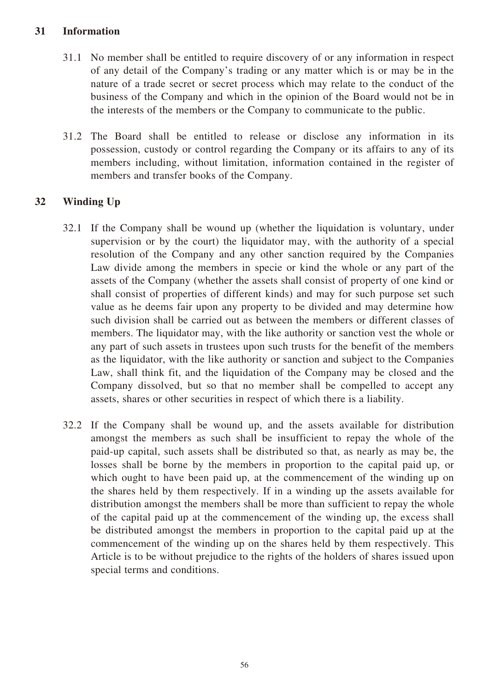# **31 Information**

- 31.1 No member shall be entitled to require discovery of or any information in respect of any detail of the Company's trading or any matter which is or may be in the nature of a trade secret or secret process which may relate to the conduct of the business of the Company and which in the opinion of the Board would not be in the interests of the members or the Company to communicate to the public.
- 31.2 The Board shall be entitled to release or disclose any information in its possession, custody or control regarding the Company or its affairs to any of its members including, without limitation, information contained in the register of members and transfer books of the Company.

# **32 Winding Up**

- 32.1 If the Company shall be wound up (whether the liquidation is voluntary, under supervision or by the court) the liquidator may, with the authority of a special resolution of the Company and any other sanction required by the Companies Law divide among the members in specie or kind the whole or any part of the assets of the Company (whether the assets shall consist of property of one kind or shall consist of properties of different kinds) and may for such purpose set such value as he deems fair upon any property to be divided and may determine how such division shall be carried out as between the members or different classes of members. The liquidator may, with the like authority or sanction vest the whole or any part of such assets in trustees upon such trusts for the benefit of the members as the liquidator, with the like authority or sanction and subject to the Companies Law, shall think fit, and the liquidation of the Company may be closed and the Company dissolved, but so that no member shall be compelled to accept any assets, shares or other securities in respect of which there is a liability.
- 32.2 If the Company shall be wound up, and the assets available for distribution amongst the members as such shall be insufficient to repay the whole of the paid-up capital, such assets shall be distributed so that, as nearly as may be, the losses shall be borne by the members in proportion to the capital paid up, or which ought to have been paid up, at the commencement of the winding up on the shares held by them respectively. If in a winding up the assets available for distribution amongst the members shall be more than sufficient to repay the whole of the capital paid up at the commencement of the winding up, the excess shall be distributed amongst the members in proportion to the capital paid up at the commencement of the winding up on the shares held by them respectively. This Article is to be without prejudice to the rights of the holders of shares issued upon special terms and conditions.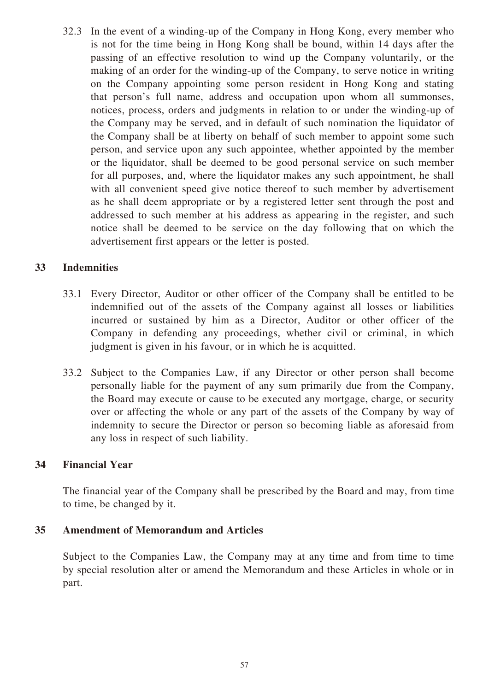32.3 In the event of a winding-up of the Company in Hong Kong, every member who is not for the time being in Hong Kong shall be bound, within 14 days after the passing of an effective resolution to wind up the Company voluntarily, or the making of an order for the winding-up of the Company, to serve notice in writing on the Company appointing some person resident in Hong Kong and stating that person's full name, address and occupation upon whom all summonses, notices, process, orders and judgments in relation to or under the winding-up of the Company may be served, and in default of such nomination the liquidator of the Company shall be at liberty on behalf of such member to appoint some such person, and service upon any such appointee, whether appointed by the member or the liquidator, shall be deemed to be good personal service on such member for all purposes, and, where the liquidator makes any such appointment, he shall with all convenient speed give notice thereof to such member by advertisement as he shall deem appropriate or by a registered letter sent through the post and addressed to such member at his address as appearing in the register, and such notice shall be deemed to be service on the day following that on which the advertisement first appears or the letter is posted.

# **33 Indemnities**

- 33.1 Every Director, Auditor or other officer of the Company shall be entitled to be indemnified out of the assets of the Company against all losses or liabilities incurred or sustained by him as a Director, Auditor or other officer of the Company in defending any proceedings, whether civil or criminal, in which judgment is given in his favour, or in which he is acquitted.
- 33.2 Subject to the Companies Law, if any Director or other person shall become personally liable for the payment of any sum primarily due from the Company, the Board may execute or cause to be executed any mortgage, charge, or security over or affecting the whole or any part of the assets of the Company by way of indemnity to secure the Director or person so becoming liable as aforesaid from any loss in respect of such liability.

# **34 Financial Year**

The financial year of the Company shall be prescribed by the Board and may, from time to time, be changed by it.

# **35 Amendment of Memorandum and Articles**

Subject to the Companies Law, the Company may at any time and from time to time by special resolution alter or amend the Memorandum and these Articles in whole or in part.